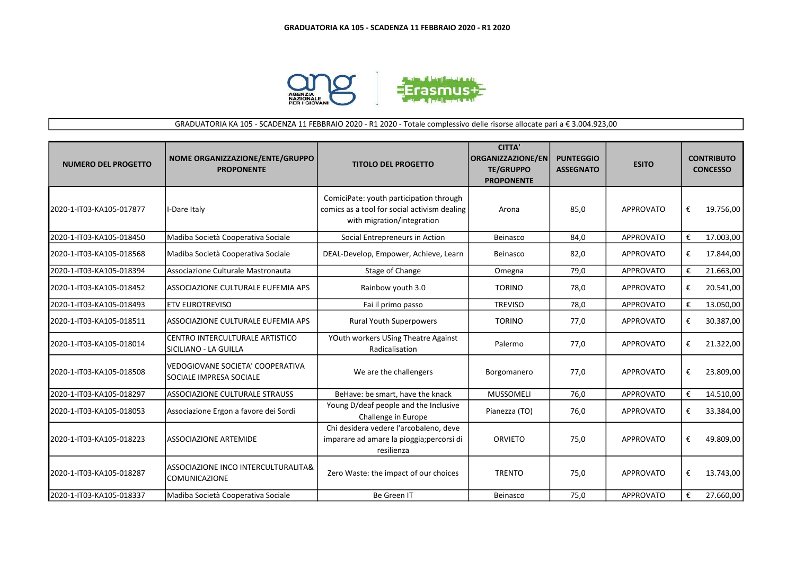

## GRADUATORIA KA 105 - SCADENZA 11 FEBBRAIO 2020 - R1 2020 - Totale complessivo delle risorse allocate pari a € 3.004.923,00

| <b>NUMERO DEL PROGETTO</b> | NOME ORGANIZZAZIONE/ENTE/GRUPPO<br><b>PROPONENTE</b>               | <b>TITOLO DEL PROGETTO</b>                                                                                            | <b>CITTA'</b><br><b>ORGANIZZAZIONE/EN</b><br><b>TE/GRUPPO</b><br><b>PROPONENTE</b> | <b>PUNTEGGIO</b><br><b>ASSEGNATO</b> | <b>ESITO</b>     |   | <b>CONTRIBUTO</b><br><b>CONCESSO</b> |
|----------------------------|--------------------------------------------------------------------|-----------------------------------------------------------------------------------------------------------------------|------------------------------------------------------------------------------------|--------------------------------------|------------------|---|--------------------------------------|
| 2020-1-IT03-KA105-017877   | I-Dare Italy                                                       | ComiciPate: youth participation through<br>comics as a tool for social activism dealing<br>with migration/integration | Arona                                                                              | 85,0                                 | <b>APPROVATO</b> | € | 19.756,00                            |
| 2020-1-IT03-KA105-018450   | Madiba Società Cooperativa Sociale                                 | Social Entrepreneurs in Action                                                                                        | Beinasco                                                                           | 84,0                                 | APPROVATO        | € | 17.003,00                            |
| 2020-1-IT03-KA105-018568   | Madiba Società Cooperativa Sociale                                 | DEAL-Develop, Empower, Achieve, Learn                                                                                 | Beinasco                                                                           | 82,0                                 | <b>APPROVATO</b> | € | 17.844,00                            |
| 2020-1-IT03-KA105-018394   | Associazione Culturale Mastronauta                                 | Stage of Change                                                                                                       | Omegna                                                                             | 79,0                                 | <b>APPROVATO</b> | € | 21.663,00                            |
| 2020-1-IT03-KA105-018452   | ASSOCIAZIONE CULTURALE EUFEMIA APS                                 | Rainbow youth 3.0                                                                                                     | <b>TORINO</b>                                                                      | 78,0                                 | <b>APPROVATO</b> | € | 20.541,00                            |
| 2020-1-IT03-KA105-018493   | <b>ETV EUROTREVISO</b>                                             | Fai il primo passo                                                                                                    | <b>TREVISO</b>                                                                     | 78,0                                 | <b>APPROVATO</b> | € | 13.050,00                            |
| 2020-1-IT03-KA105-018511   | ASSOCIAZIONE CULTURALE EUFEMIA APS                                 | <b>Rural Youth Superpowers</b>                                                                                        | <b>TORINO</b>                                                                      | 77,0                                 | <b>APPROVATO</b> | € | 30.387,00                            |
| 2020-1-IT03-KA105-018014   | CENTRO INTERCULTURALE ARTISTICO<br>SICILIANO - LA GUILLA           | YOuth workers USing Theatre Against<br>Radicalisation                                                                 | Palermo                                                                            | 77,0                                 | <b>APPROVATO</b> | € | 21.322,00                            |
| 2020-1-IT03-KA105-018508   | <b>VEDOGIOVANE SOCIETA' COOPERATIVA</b><br>SOCIALE IMPRESA SOCIALE | We are the challengers                                                                                                | Borgomanero                                                                        | 77,0                                 | <b>APPROVATO</b> | € | 23.809,00                            |
| 2020-1-IT03-KA105-018297   | <b>ASSOCIAZIONE CULTURALE STRAUSS</b>                              | BeHave: be smart, have the knack                                                                                      | <b>MUSSOMELI</b>                                                                   | 76,0                                 | APPROVATO        | € | 14.510,00                            |
| 2020-1-IT03-KA105-018053   | Associazione Ergon a favore dei Sordi                              | Young D/deaf people and the Inclusive<br>Challenge in Europe                                                          | Pianezza (TO)                                                                      | 76,0                                 | <b>APPROVATO</b> | € | 33.384,00                            |
| 2020-1-IT03-KA105-018223   | ASSOCIAZIONE ARTEMIDE                                              | Chi desidera vedere l'arcobaleno, deve<br>imparare ad amare la pioggia; percorsi di<br>resilienza                     | <b>ORVIETO</b>                                                                     | 75,0                                 | <b>APPROVATO</b> | € | 49.809,00                            |
| 2020-1-IT03-KA105-018287   | ASSOCIAZIONE INCO INTERCULTURALITA&<br><b>COMUNICAZIONE</b>        | Zero Waste: the impact of our choices                                                                                 | <b>TRENTO</b>                                                                      | 75,0                                 | <b>APPROVATO</b> | € | 13.743,00                            |
| 2020-1-IT03-KA105-018337   | Madiba Società Cooperativa Sociale                                 | Be Green IT                                                                                                           | Beinasco                                                                           | 75,0                                 | <b>APPROVATO</b> | € | 27.660,00                            |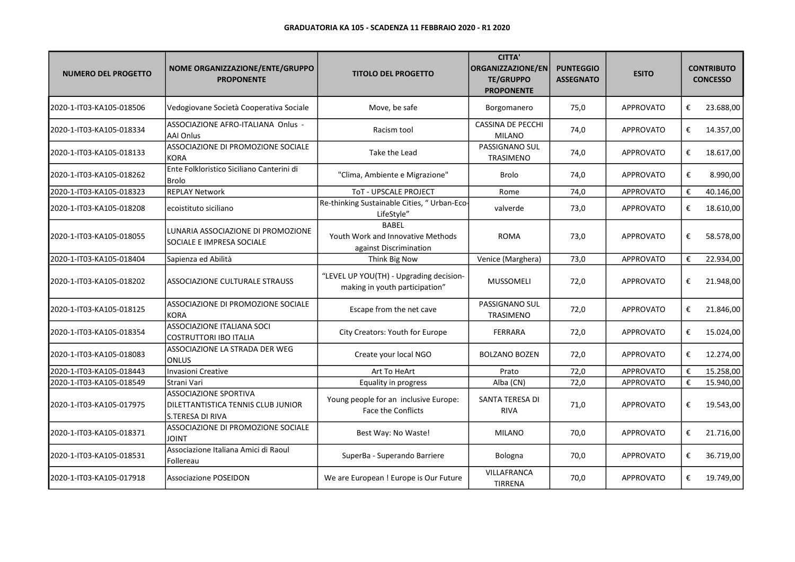| <b>NUMERO DEL PROGETTO</b> | NOME ORGANIZZAZIONE/ENTE/GRUPPO<br><b>PROPONENTE</b>                                   | <b>TITOLO DEL PROGETTO</b>                                                  | <b>CITTA'</b><br>ORGANIZZAZIONE/EN<br><b>TE/GRUPPO</b><br><b>PROPONENTE</b> | <b>PUNTEGGIO</b><br><b>ASSEGNATO</b> | <b>ESITO</b>     |   | <b>CONTRIBUTO</b><br><b>CONCESSO</b> |
|----------------------------|----------------------------------------------------------------------------------------|-----------------------------------------------------------------------------|-----------------------------------------------------------------------------|--------------------------------------|------------------|---|--------------------------------------|
| 2020-1-IT03-KA105-018506   | Vedogiovane Società Cooperativa Sociale                                                | Move, be safe                                                               | Borgomanero                                                                 | 75,0                                 | <b>APPROVATO</b> | € | 23.688,00                            |
| 2020-1-IT03-KA105-018334   | ASSOCIAZIONE AFRO-ITALIANA Onlus -<br><b>AAI Onlus</b>                                 | Racism tool                                                                 | <b>CASSINA DE PECCHI</b><br><b>MILANO</b>                                   | 74,0                                 | <b>APPROVATO</b> | € | 14.357,00                            |
| 2020-1-IT03-KA105-018133   | ASSOCIAZIONE DI PROMOZIONE SOCIALE<br><b>KORA</b>                                      | Take the Lead                                                               | PASSIGNANO SUL<br>TRASIMENO                                                 | 74,0                                 | <b>APPROVATO</b> | € | 18.617,00                            |
| 2020-1-IT03-KA105-018262   | Ente Folkloristico Siciliano Canterini di<br><b>Brolo</b>                              | "Clima, Ambiente e Migrazione"                                              | Brolo                                                                       | 74,0                                 | <b>APPROVATO</b> | € | 8.990,00                             |
| 2020-1-IT03-KA105-018323   | <b>REPLAY Network</b>                                                                  | ToT - UPSCALE PROJECT                                                       | Rome                                                                        | 74,0                                 | <b>APPROVATO</b> | € | 40.146,00                            |
| 2020-1-IT03-KA105-018208   | ecoistituto siciliano                                                                  | Re-thinking Sustainable Cities, "Urban-Eco-<br>LifeStyle"                   | valverde                                                                    | 73,0                                 | <b>APPROVATO</b> | € | 18.610,00                            |
| 2020-1-IT03-KA105-018055   | LUNARIA ASSOCIAZIONE DI PROMOZIONE<br>SOCIALE E IMPRESA SOCIALE                        | <b>BABEL</b><br>Youth Work and Innovative Methods<br>against Discrimination | <b>ROMA</b>                                                                 | 73,0                                 | <b>APPROVATO</b> | € | 58.578,00                            |
| 2020-1-IT03-KA105-018404   | Sapienza ed Abilità                                                                    | Think Big Now                                                               | Venice (Marghera)                                                           | 73,0                                 | APPROVATO        | € | 22.934,00                            |
| 2020-1-IT03-KA105-018202   | ASSOCIAZIONE CULTURALE STRAUSS                                                         | "LEVEL UP YOU(TH) - Upgrading decision-<br>making in youth participation"   | <b>MUSSOMELI</b>                                                            | 72,0                                 | <b>APPROVATO</b> | € | 21.948,00                            |
| 2020-1-IT03-KA105-018125   | ASSOCIAZIONE DI PROMOZIONE SOCIALE<br><b>KORA</b>                                      | Escape from the net cave                                                    | PASSIGNANO SUL<br><b>TRASIMENO</b>                                          | 72,0                                 | <b>APPROVATO</b> | € | 21.846,00                            |
| 2020-1-IT03-KA105-018354   | <b>ASSOCIAZIONE ITALIANA SOCI</b><br>COSTRUTTORI IBO ITALIA                            | City Creators: Youth for Europe                                             | <b>FERRARA</b>                                                              | 72,0                                 | <b>APPROVATO</b> | € | 15.024,00                            |
| 2020-1-IT03-KA105-018083   | ASSOCIAZIONE LA STRADA DER WEG<br>ONLUS                                                | Create your local NGO                                                       | <b>BOLZANO BOZEN</b>                                                        | 72,0                                 | <b>APPROVATO</b> | € | 12.274,00                            |
| 2020-1-IT03-KA105-018443   | Invasioni Creative                                                                     | Art To HeArt                                                                | Prato                                                                       | 72,0                                 | APPROVATO        | € | 15.258,00                            |
| 2020-1-IT03-KA105-018549   | Strani Vari                                                                            | Equality in progress                                                        | Alba (CN)                                                                   | 72,0                                 | APPROVATO        | € | 15.940,00                            |
| 2020-1-IT03-KA105-017975   | <b>ASSOCIAZIONE SPORTIVA</b><br>DILETTANTISTICA TENNIS CLUB JUNIOR<br>S.TERESA DI RIVA | Young people for an inclusive Europe:<br>Face the Conflicts                 | SANTA TERESA DI<br><b>RIVA</b>                                              | 71,0                                 | <b>APPROVATO</b> | € | 19.543,00                            |
| 2020-1-IT03-KA105-018371   | ASSOCIAZIONE DI PROMOZIONE SOCIALE<br><b>JOINT</b>                                     | Best Way: No Waste!                                                         | <b>MILANO</b>                                                               | 70,0                                 | <b>APPROVATO</b> | € | 21.716,00                            |
| 2020-1-IT03-KA105-018531   | Associazione Italiana Amici di Raoul<br>Follereau                                      | SuperBa - Superando Barriere                                                | Bologna                                                                     | 70,0                                 | APPROVATO        | € | 36.719,00                            |
| 2020-1-IT03-KA105-017918   | <b>Associazione POSEIDON</b>                                                           | We are European ! Europe is Our Future                                      | VILLAFRANCA<br><b>TIRRENA</b>                                               | 70,0                                 | <b>APPROVATO</b> | € | 19.749,00                            |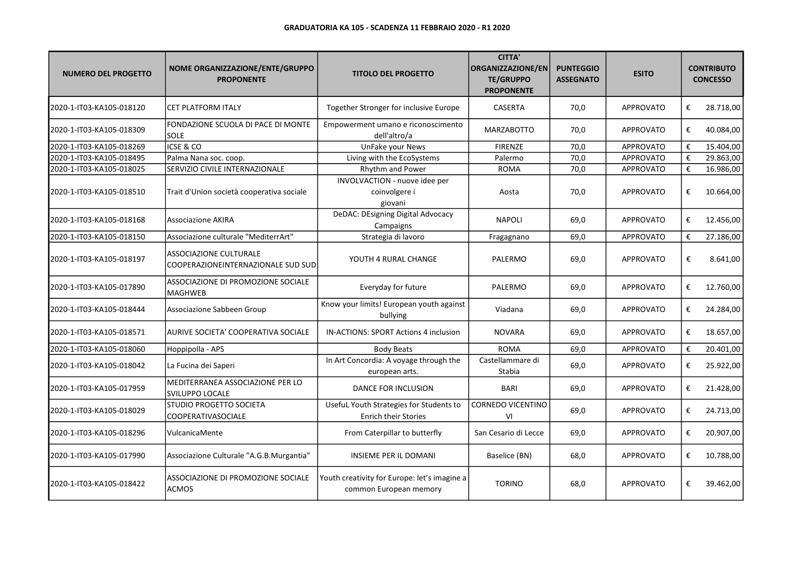| <b>NUMERO DEL PROGETTO</b> | NOME ORGANIZZAZIONE/ENTE/GRUPPO<br><b>PROPONENTE</b>                | <b>TITOLO DEL PROGETTO</b>                                             | <b>CITTA'</b><br><b>ORGANIZZAZIONE/EN</b><br><b>TE/GRUPPO</b><br><b>PROPONENTE</b> | <b>PUNTEGGIO</b><br><b>ASSEGNATO</b> | <b>ESITO</b>     |   | <b>CONTRIBUTO</b><br><b>CONCESSO</b> |
|----------------------------|---------------------------------------------------------------------|------------------------------------------------------------------------|------------------------------------------------------------------------------------|--------------------------------------|------------------|---|--------------------------------------|
| 2020-1-IT03-KA105-018120   | <b>CET PLATFORM ITALY</b>                                           | Together Stronger for inclusive Europe                                 | CASERTA                                                                            | 70,0                                 | <b>APPROVATO</b> | € | 28.718,00                            |
| 2020-1-IT03-KA105-018309   | FONDAZIONE SCUOLA DI PACE DI MONTE<br><b>SOLE</b>                   | Empowerment umano e riconoscimento<br>dell'altro/a                     | <b>MARZABOTTO</b>                                                                  | 70,0                                 | <b>APPROVATO</b> | € | 40.084,00                            |
| 2020-1-IT03-KA105-018269   | <b>ICSE &amp; CO</b>                                                | UnFake your News                                                       | <b>FIRENZE</b>                                                                     | 70,0                                 | APPROVATO        | € | 15.404,00                            |
| 2020-1-IT03-KA105-018495   | Palma Nana soc. coop.                                               | Living with the EcoSystems                                             | Palermo                                                                            | 70,0                                 | APPROVATO        | € | 29.863,00                            |
| 2020-1-IT03-KA105-018025   | SERVIZIO CIVILE INTERNAZIONALE                                      | Rhythm and Power                                                       | <b>ROMA</b>                                                                        | 70,0                                 | <b>APPROVATO</b> | € | 16.986,00                            |
| 2020-1-IT03-KA105-018510   | Trait d'Union società cooperativa sociale                           | INVOLVACTION - nuove idee per<br>coinvolgere i<br>giovani              | Aosta                                                                              | 70,0                                 | <b>APPROVATO</b> | € | 10.664,00                            |
| 2020-1-IT03-KA105-018168   | <b>Associazione AKIRA</b>                                           | DeDAC: DEsigning Digital Advocacy<br>Campaigns                         | <b>NAPOLI</b>                                                                      | 69,0                                 | <b>APPROVATO</b> | € | 12.456,00                            |
| 2020-1-IT03-KA105-018150   | Associazione culturale "MediterrArt"                                | Strategia di lavoro                                                    | Fragagnano                                                                         | 69.0                                 | APPROVATO        | € | 27.186,00                            |
| 2020-1-IT03-KA105-018197   | <b>ASSOCIAZIONE CULTURALE</b><br>COOPERAZIONEINTERNAZIONALE SUD SUD | YOUTH 4 RURAL CHANGE                                                   | PALERMO                                                                            | 69,0                                 | <b>APPROVATO</b> | € | 8.641,00                             |
| 2020-1-IT03-KA105-017890   | ASSOCIAZIONE DI PROMOZIONE SOCIALE<br><b>MAGHWEB</b>                | Everyday for future                                                    | PALERMO                                                                            | 69,0                                 | <b>APPROVATO</b> | € | 12.760,00                            |
| 2020-1-IT03-KA105-018444   | Associazione Sabbeen Group                                          | Know your limits! European youth against<br>bullying                   | Viadana                                                                            | 69,0                                 | APPROVATO        | € | 24.284,00                            |
| 2020-1-IT03-KA105-018571   | AURIVE SOCIETA' COOPERATIVA SOCIALE                                 | IN-ACTIONS: SPORT Actions 4 inclusion                                  | <b>NOVARA</b>                                                                      | 69,0                                 | <b>APPROVATO</b> | € | 18.657,00                            |
| 2020-1-IT03-KA105-018060   | Hoppipolla - APS                                                    | <b>Body Beats</b>                                                      | <b>ROMA</b>                                                                        | 69,0                                 | <b>APPROVATO</b> | € | 20.401,00                            |
| 2020-1-IT03-KA105-018042   | La Fucina dei Saperi                                                | In Art Concordia: A voyage through the<br>european arts.               | Castellammare di<br>Stabia                                                         | 69,0                                 | <b>APPROVATO</b> | € | 25.922,00                            |
| 2020-1-IT03-KA105-017959   | MEDITERRANEA ASSOCIAZIONE PER LO<br><b>SVILUPPO LOCALE</b>          | DANCE FOR INCLUSION                                                    | <b>BARI</b>                                                                        | 69,0                                 | <b>APPROVATO</b> | € | 21.428,00                            |
| 2020-1-IT03-KA105-018029   | STUDIO PROGETTO SOCIETA<br><b>COOPERATIVASOCIALE</b>                | Useful Youth Strategies for Students to<br><b>Enrich their Stories</b> | <b>CORNEDO VICENTINO</b><br>VI                                                     | 69,0                                 | <b>APPROVATO</b> | € | 24.713,00                            |
| 2020-1-IT03-KA105-018296   | VulcanicaMente                                                      | From Caterpillar to butterfly                                          | San Cesario di Lecce                                                               | 69,0                                 | <b>APPROVATO</b> | € | 20.907,00                            |
| 2020-1-IT03-KA105-017990   | Associazione Culturale "A.G.B.Murgantia"                            | <b>INSIEME PER IL DOMANI</b>                                           | Baselice (BN)                                                                      | 68,0                                 | <b>APPROVATO</b> | € | 10.788,00                            |
| 2020-1-IT03-KA105-018422   | ASSOCIAZIONE DI PROMOZIONE SOCIALE<br>ACMOS                         | Youth creativity for Europe: let's imagine a<br>common European memory | <b>TORINO</b>                                                                      | 68,0                                 | <b>APPROVATO</b> | € | 39.462,00                            |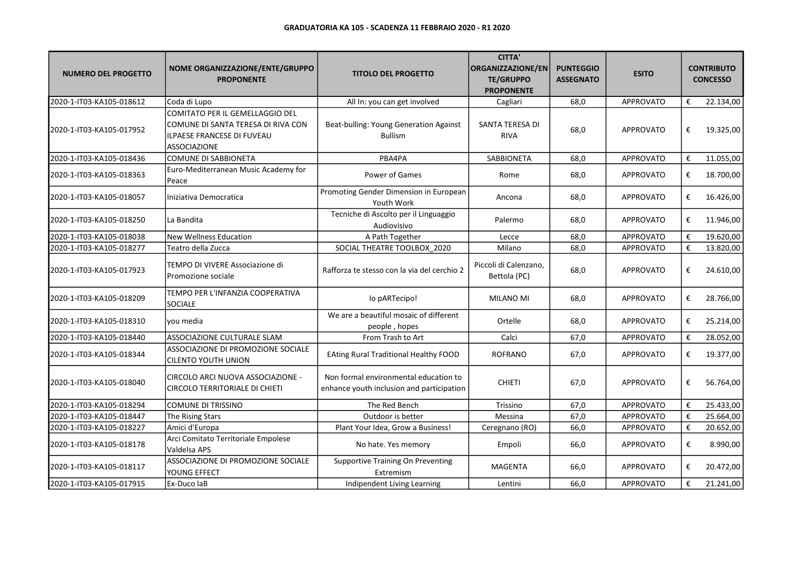| <b>NUMERO DEL PROGETTO</b> | NOME ORGANIZZAZIONE/ENTE/GRUPPO<br><b>PROPONENTE</b>                                                                       | <b>TITOLO DEL PROGETTO</b>                                                         | <b>CITTA'</b><br>ORGANIZZAZIONE/EN<br><b>TE/GRUPPO</b><br><b>PROPONENTE</b> | <b>PUNTEGGIO</b><br><b>ASSEGNATO</b> | <b>ESITO</b>     |   | <b>CONTRIBUTO</b><br><b>CONCESSO</b> |
|----------------------------|----------------------------------------------------------------------------------------------------------------------------|------------------------------------------------------------------------------------|-----------------------------------------------------------------------------|--------------------------------------|------------------|---|--------------------------------------|
| 2020-1-IT03-KA105-018612   | Coda di Lupo                                                                                                               | All In: you can get involved                                                       | Cagliari                                                                    | 68,0                                 | <b>APPROVATO</b> | € | 22.134,00                            |
| 2020-1-IT03-KA105-017952   | COMITATO PER IL GEMELLAGGIO DEL<br>COMUNE DI SANTA TERESA DI RIVA CON<br><b>ILPAESE FRANCESE DI FUVEAU</b><br>ASSOCIAZIONE | Beat-bulling: Young Generation Against<br><b>Bullism</b>                           | SANTA TERESA DI<br><b>RIVA</b>                                              | 68,0                                 | <b>APPROVATO</b> | € | 19.325,00                            |
| 2020-1-IT03-KA105-018436   | <b>COMUNE DI SABBIONETA</b>                                                                                                | PBA4PA                                                                             | SABBIONETA                                                                  | 68,0                                 | APPROVATO        | € | 11.055,00                            |
| 2020-1-IT03-KA105-018363   | Euro-Mediterranean Music Academy for<br>Peace                                                                              | Power of Games                                                                     | Rome                                                                        | 68,0                                 | <b>APPROVATO</b> | € | 18.700,00                            |
| 2020-1-IT03-KA105-018057   | Iniziativa Democratica                                                                                                     | Promoting Gender Dimension in European<br>Youth Work                               | Ancona                                                                      | 68,0                                 | <b>APPROVATO</b> | € | 16.426,00                            |
| 2020-1-IT03-KA105-018250   | La Bandita                                                                                                                 | Tecniche di Ascolto per il Linguaggio<br>Audiovisivo                               | Palermo                                                                     | 68,0                                 | <b>APPROVATO</b> | € | 11.946,00                            |
| 2020-1-IT03-KA105-018038   | <b>New Wellness Education</b>                                                                                              | A Path Together                                                                    | Lecce                                                                       | 68,0                                 | <b>APPROVATO</b> | € | 19.620,00                            |
| 2020-1-IT03-KA105-018277   | Teatro della Zucca                                                                                                         | SOCIAL THEATRE TOOLBOX 2020                                                        | Milano                                                                      | 68,0                                 | <b>APPROVATO</b> | € | 13.820,00                            |
| 2020-1-IT03-KA105-017923   | TEMPO DI VIVERE Associazione di<br>Promozione sociale                                                                      | Rafforza te stesso con la via del cerchio 2                                        | Piccoli di Calenzano,<br>Bettola (PC)                                       | 68,0                                 | <b>APPROVATO</b> | € | 24.610,00                            |
| 2020-1-IT03-KA105-018209   | TEMPO PER L'INFANZIA COOPERATIVA<br>SOCIALE                                                                                | lo pARTecipo!                                                                      | MILANO MI                                                                   | 68,0                                 | <b>APPROVATO</b> | € | 28.766,00                            |
| 2020-1-IT03-KA105-018310   | vou media                                                                                                                  | We are a beautiful mosaic of different<br>people, hopes                            | Ortelle                                                                     | 68,0                                 | <b>APPROVATO</b> | € | 25.214,00                            |
| 2020-1-IT03-KA105-018440   | ASSOCIAZIONE CULTURALE SLAM                                                                                                | From Trash to Art                                                                  | Calci                                                                       | 67,0                                 | <b>APPROVATO</b> | € | 28.052,00                            |
| 2020-1-IT03-KA105-018344   | ASSOCIAZIONE DI PROMOZIONE SOCIALE<br><b>CILENTO YOUTH UNION</b>                                                           | <b>EAting Rural Traditional Healthy FOOD</b>                                       | <b>ROFRANO</b>                                                              | 67,0                                 | <b>APPROVATO</b> | € | 19.377,00                            |
| 2020-1-IT03-KA105-018040   | CIRCOLO ARCI NUOVA ASSOCIAZIONE -<br>CIRCOLO TERRITORIALE DI CHIETI                                                        | Non formal environmental education to<br>enhance youth inclusion and participation | <b>CHIETI</b>                                                               | 67,0                                 | <b>APPROVATO</b> | € | 56.764,00                            |
| 2020-1-IT03-KA105-018294   | <b>COMUNE DI TRISSINO</b>                                                                                                  | The Red Bench                                                                      | Trissino                                                                    | 67,0                                 | APPROVATO        | € | 25.433,00                            |
| 2020-1-IT03-KA105-018447   | The Rising Stars                                                                                                           | Outdoor is better                                                                  | Messina                                                                     | 67,0                                 | APPROVATO        | € | 25.664,00                            |
| 2020-1-IT03-KA105-018227   | Amici d'Europa                                                                                                             | Plant Your Idea, Grow a Business!                                                  | Ceregnano (RO)                                                              | 66,0                                 | <b>APPROVATO</b> | € | 20.652,00                            |
| 2020-1-IT03-KA105-018178   | Arci Comitato Territoriale Empolese<br>Valdelsa APS                                                                        | No hate. Yes memory                                                                | Empoli                                                                      | 66,0                                 | <b>APPROVATO</b> | € | 8.990,00                             |
| 2020-1-IT03-KA105-018117   | ASSOCIAZIONE DI PROMOZIONE SOCIALE<br>YOUNG EFFECT                                                                         | <b>Supportive Training On Preventing</b><br>Extremism                              | <b>MAGENTA</b>                                                              | 66,0                                 | <b>APPROVATO</b> | € | 20.472,00                            |
| 2020-1-IT03-KA105-017915   | Ex-Duco laB                                                                                                                | Indipendent Living Learning                                                        | Lentini                                                                     | 66,0                                 | <b>APPROVATO</b> | € | 21.241,00                            |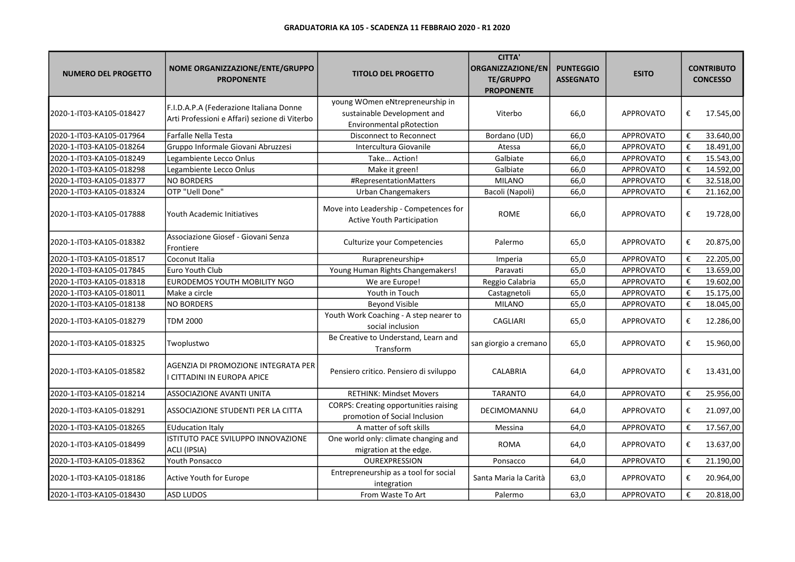| <b>NUMERO DEL PROGETTO</b> | NOME ORGANIZZAZIONE/ENTE/GRUPPO<br><b>PROPONENTE</b>                                     | <b>TITOLO DEL PROGETTO</b>                                                                        | <b>CITTA'</b><br>ORGANIZZAZIONE/EN<br><b>TE/GRUPPO</b><br><b>PROPONENTE</b> | <b>PUNTEGGIO</b><br><b>ASSEGNATO</b> | <b>ESITO</b>     |                         | <b>CONTRIBUTO</b><br><b>CONCESSO</b> |
|----------------------------|------------------------------------------------------------------------------------------|---------------------------------------------------------------------------------------------------|-----------------------------------------------------------------------------|--------------------------------------|------------------|-------------------------|--------------------------------------|
| 2020-1-IT03-KA105-018427   | F.I.D.A.P.A (Federazione Italiana Donne<br>Arti Professioni e Affari) sezione di Viterbo | young WOmen eNtrepreneurship in<br>sustainable Development and<br><b>Environmental pRotection</b> | Viterbo                                                                     | 66,0                                 | <b>APPROVATO</b> | €                       | 17.545,00                            |
| 2020-1-IT03-KA105-017964   | Farfalle Nella Testa                                                                     | Disconnect to Reconnect                                                                           | Bordano (UD)                                                                | 66,0                                 | APPROVATO        | €                       | 33.640,00                            |
| 2020-1-IT03-KA105-018264   | Gruppo Informale Giovani Abruzzesi                                                       | Intercultura Giovanile                                                                            | Atessa                                                                      | 66,0                                 | APPROVATO        | €                       | 18.491,00                            |
| 2020-1-IT03-KA105-018249   | Legambiente Lecco Onlus                                                                  | Take Action!                                                                                      | Galbiate                                                                    | 66,0                                 | APPROVATO        | €                       | 15.543,00                            |
| 2020-1-IT03-KA105-018298   | Legambiente Lecco Onlus                                                                  | Make it green!                                                                                    | Galbiate                                                                    | 66,0                                 | <b>APPROVATO</b> | €                       | 14.592,00                            |
| 2020-1-IT03-KA105-018377   | <b>NO BORDERS</b>                                                                        | #RepresentationMatters                                                                            | <b>MILANO</b>                                                               | 66,0                                 | APPROVATO        | €                       | 32.518,00                            |
| 2020-1-IT03-KA105-018324   | OTP "Uell Done"                                                                          | <b>Urban Changemakers</b>                                                                         | Bacoli (Napoli)                                                             | 66,0                                 | APPROVATO        | €                       | 21.162,00                            |
| 2020-1-IT03-KA105-017888   | Youth Academic Initiatives                                                               | Move into Leadership - Competences for<br>Active Youth Participation                              | <b>ROME</b>                                                                 | 66,0                                 | <b>APPROVATO</b> | €                       | 19.728,00                            |
| 2020-1-IT03-KA105-018382   | Associazione Giosef - Giovani Senza<br>Frontiere                                         | Culturize your Competencies                                                                       | Palermo                                                                     | 65,0                                 | APPROVATO        | €                       | 20.875,00                            |
| 2020-1-IT03-KA105-018517   | Coconut Italia                                                                           | Rurapreneurship+                                                                                  | Imperia                                                                     | 65,0                                 | APPROVATO        | €                       | 22.205,00                            |
| 2020-1-IT03-KA105-017845   | Euro Youth Club                                                                          | Young Human Rights Changemakers!                                                                  | Paravati                                                                    | 65,0                                 | APPROVATO        | €                       | 13.659,00                            |
| 2020-1-IT03-KA105-018318   | EURODEMOS YOUTH MOBILITY NGO                                                             | We are Europe!                                                                                    | Reggio Calabria                                                             | 65,0                                 | APPROVATO        | $\boldsymbol{\epsilon}$ | 19.602,00                            |
| 2020-1-IT03-KA105-018011   | Make a circle                                                                            | Youth in Touch                                                                                    | Castagnetoli                                                                | 65,0                                 | APPROVATO        | €                       | 15.175,00                            |
| 2020-1-IT03-KA105-018138   | <b>NO BORDERS</b>                                                                        | <b>Beyond Visible</b>                                                                             | <b>MILANO</b>                                                               | 65,0                                 | APPROVATO        | €                       | 18.045,00                            |
| 2020-1-IT03-KA105-018279   | TDM 2000                                                                                 | Youth Work Coaching - A step nearer to<br>social inclusion                                        | CAGLIARI                                                                    | 65,0                                 | APPROVATO        | €                       | 12.286,00                            |
| 2020-1-IT03-KA105-018325   | Twoplustwo                                                                               | Be Creative to Understand, Learn and<br>Transform                                                 | san giorgio a cremano                                                       | 65,0                                 | APPROVATO        | €                       | 15.960,00                            |
| 2020-1-IT03-KA105-018582   | AGENZIA DI PROMOZIONE INTEGRATA PER<br>I CITTADINI IN EUROPA APICE                       | Pensiero critico. Pensiero di sviluppo                                                            | <b>CALABRIA</b>                                                             | 64,0                                 | <b>APPROVATO</b> | €                       | 13.431,00                            |
| 2020-1-IT03-KA105-018214   | ASSOCIAZIONE AVANTI UNITA                                                                | <b>RETHINK: Mindset Movers</b>                                                                    | <b>TARANTO</b>                                                              | 64,0                                 | APPROVATO        | €                       | 25.956,00                            |
| 2020-1-IT03-KA105-018291   | ASSOCIAZIONE STUDENTI PER LA CITTA                                                       | <b>CORPS: Creating opportunities raising</b><br>promotion of Social Inclusion                     | DECIMOMANNU                                                                 | 64,0                                 | <b>APPROVATO</b> | €                       | 21.097,00                            |
| 2020-1-IT03-KA105-018265   | <b>EUducation Italy</b>                                                                  | A matter of soft skills                                                                           | Messina                                                                     | 64,0                                 | <b>APPROVATO</b> | €                       | 17.567,00                            |
| 2020-1-IT03-KA105-018499   | ISTITUTO PACE SVILUPPO INNOVAZIONE<br>ACLI (IPSIA)                                       | One world only: climate changing and<br>migration at the edge.                                    | <b>ROMA</b>                                                                 | 64,0                                 | <b>APPROVATO</b> | €                       | 13.637,00                            |
| 2020-1-IT03-KA105-018362   | <b>Youth Ponsacco</b>                                                                    | OUREXPRESSION                                                                                     | Ponsacco                                                                    | 64,0                                 | <b>APPROVATO</b> | €                       | 21.190,00                            |
| 2020-1-IT03-KA105-018186   | Active Youth for Europe                                                                  | Entrepreneurship as a tool for social<br>integration                                              | Santa Maria la Carità                                                       | 63,0                                 | <b>APPROVATO</b> | €                       | 20.964,00                            |
| 2020-1-IT03-KA105-018430   | <b>ASD LUDOS</b>                                                                         | From Waste To Art                                                                                 | Palermo                                                                     | 63,0                                 | APPROVATO        | €                       | 20.818,00                            |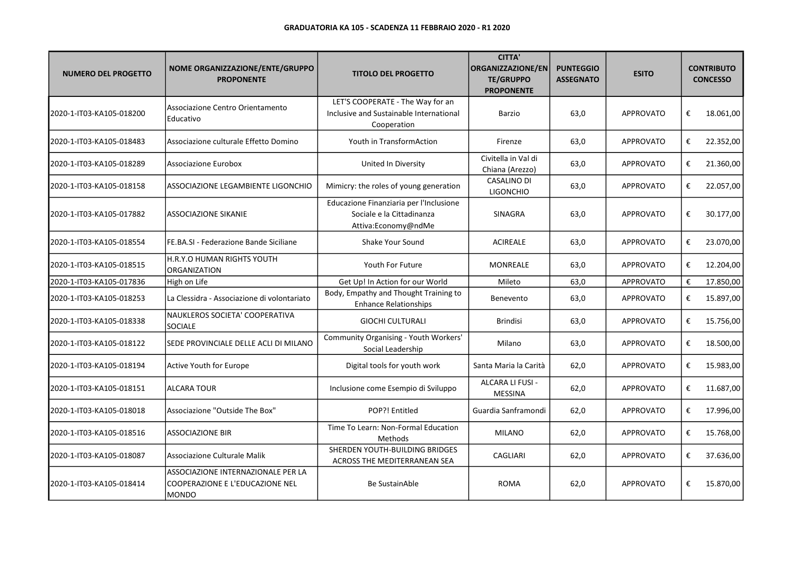| <b>NUMERO DEL PROGETTO</b> | NOME ORGANIZZAZIONE/ENTE/GRUPPO<br><b>PROPONENTE</b>                           | <b>TITOLO DEL PROGETTO</b>                                                                  | <b>CITTA'</b><br><b>ORGANIZZAZIONE/EN</b><br><b>TE/GRUPPO</b><br><b>PROPONENTE</b> | <b>PUNTEGGIO</b><br><b>ASSEGNATO</b> | <b>ESITO</b>     |   | <b>CONTRIBUTO</b><br><b>CONCESSO</b> |
|----------------------------|--------------------------------------------------------------------------------|---------------------------------------------------------------------------------------------|------------------------------------------------------------------------------------|--------------------------------------|------------------|---|--------------------------------------|
| 2020-1-IT03-KA105-018200   | Associazione Centro Orientamento<br>Educativo                                  | LET'S COOPERATE - The Way for an<br>Inclusive and Sustainable International<br>Cooperation  | Barzio                                                                             | 63,0                                 | <b>APPROVATO</b> | € | 18.061,00                            |
| 2020-1-IT03-KA105-018483   | Associazione culturale Effetto Domino                                          | Youth in TransformAction                                                                    | Firenze                                                                            | 63,0                                 | <b>APPROVATO</b> | € | 22.352,00                            |
| 2020-1-IT03-KA105-018289   | Associazione Eurobox                                                           | United In Diversity                                                                         | Civitella in Val di<br>Chiana (Arezzo)                                             | 63,0                                 | APPROVATO        | € | 21.360,00                            |
| 2020-1-IT03-KA105-018158   | ASSOCIAZIONE LEGAMBIENTE LIGONCHIO                                             | Mimicry: the roles of young generation                                                      | <b>CASALINO DI</b><br><b>LIGONCHIO</b>                                             | 63,0                                 | <b>APPROVATO</b> | € | 22.057,00                            |
| 2020-1-IT03-KA105-017882   | <b>ASSOCIAZIONE SIKANIE</b>                                                    | Educazione Finanziaria per l'Inclusione<br>Sociale e la Cittadinanza<br>Attiva:Economy@ndMe | SINAGRA                                                                            | 63,0                                 | <b>APPROVATO</b> | € | 30.177,00                            |
| 2020-1-IT03-KA105-018554   | FE.BA.SI - Federazione Bande Siciliane                                         | Shake Your Sound                                                                            | <b>ACIREALE</b>                                                                    | 63,0                                 | <b>APPROVATO</b> | € | 23.070,00                            |
| 2020-1-IT03-KA105-018515   | H.R.Y.O HUMAN RIGHTS YOUTH<br>ORGANIZATION                                     | Youth For Future                                                                            | <b>MONREALE</b>                                                                    | 63,0                                 | <b>APPROVATO</b> | € | 12.204,00                            |
| 2020-1-IT03-KA105-017836   | High on Life                                                                   | Get Up! In Action for our World                                                             | Mileto                                                                             | 63,0                                 | <b>APPROVATO</b> | € | 17.850,00                            |
| 2020-1-IT03-KA105-018253   | La Clessidra - Associazione di volontariato                                    | Body, Empathy and Thought Training to<br><b>Enhance Relationships</b>                       | Benevento                                                                          | 63,0                                 | <b>APPROVATO</b> | € | 15.897,00                            |
| 2020-1-IT03-KA105-018338   | NAUKLEROS SOCIETA' COOPERATIVA<br><b>SOCIALE</b>                               | <b>GIOCHI CULTURALI</b>                                                                     | <b>Brindisi</b>                                                                    | 63,0                                 | <b>APPROVATO</b> | € | 15.756,00                            |
| 2020-1-IT03-KA105-018122   | SEDE PROVINCIALE DELLE ACLI DI MILANO                                          | Community Organising - Youth Workers'<br>Social Leadership                                  | Milano                                                                             | 63,0                                 | <b>APPROVATO</b> | € | 18.500,00                            |
| 2020-1-IT03-KA105-018194   | Active Youth for Europe                                                        | Digital tools for youth work                                                                | Santa Maria la Carità                                                              | 62,0                                 | <b>APPROVATO</b> | € | 15.983,00                            |
| 2020-1-IT03-KA105-018151   | <b>ALCARA TOUR</b>                                                             | Inclusione come Esempio di Sviluppo                                                         | ALCARA LI FUSI -<br><b>MESSINA</b>                                                 | 62,0                                 | <b>APPROVATO</b> | € | 11.687,00                            |
| 2020-1-IT03-KA105-018018   | Associazione "Outside The Box"                                                 | POP?! Entitled                                                                              | Guardia Sanframondi                                                                | 62,0                                 | <b>APPROVATO</b> | € | 17.996,00                            |
| 2020-1-IT03-KA105-018516   | <b>ASSOCIAZIONE BIR</b>                                                        | Time To Learn: Non-Formal Education<br>Methods                                              | <b>MILANO</b>                                                                      | 62,0                                 | <b>APPROVATO</b> | € | 15.768,00                            |
| 2020-1-IT03-KA105-018087   | Associazione Culturale Malik                                                   | SHERDEN YOUTH-BUILDING BRIDGES<br>ACROSS THE MEDITERRANEAN SEA                              | <b>CAGLIARI</b>                                                                    | 62,0                                 | <b>APPROVATO</b> | € | 37.636,00                            |
| 2020-1-IT03-KA105-018414   | ASSOCIAZIONE INTERNAZIONALE PER LA<br>COOPERAZIONE E L'EDUCAZIONE NEL<br>MONDO | <b>Be SustainAble</b>                                                                       | <b>ROMA</b>                                                                        | 62,0                                 | <b>APPROVATO</b> | € | 15.870,00                            |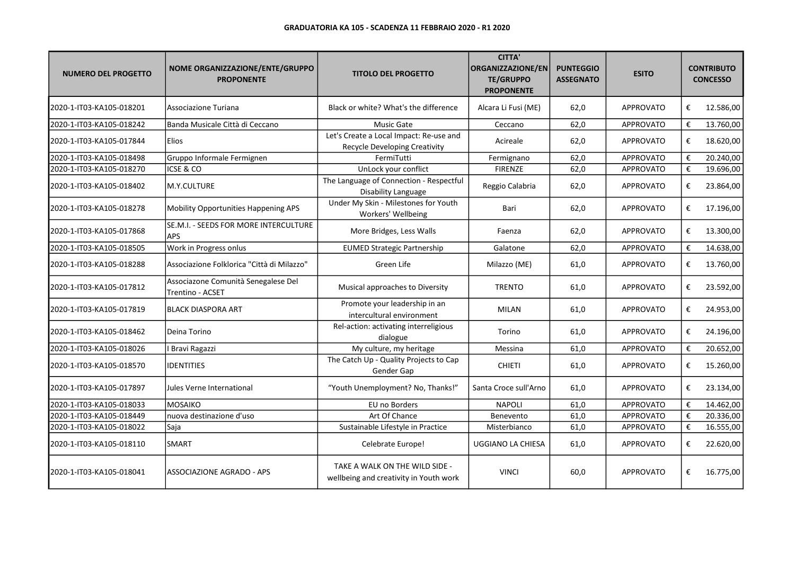| <b>NUMERO DEL PROGETTO</b> | NOME ORGANIZZAZIONE/ENTE/GRUPPO<br><b>PROPONENTE</b>    | <b>TITOLO DEL PROGETTO</b>                                               | <b>CITTA'</b><br>ORGANIZZAZIONE/EN<br><b>TE/GRUPPO</b><br><b>PROPONENTE</b> | <b>PUNTEGGIO</b><br><b>ASSEGNATO</b> | <b>ESITO</b>     |   | <b>CONTRIBUTO</b><br><b>CONCESSO</b> |
|----------------------------|---------------------------------------------------------|--------------------------------------------------------------------------|-----------------------------------------------------------------------------|--------------------------------------|------------------|---|--------------------------------------|
| 2020-1-IT03-KA105-018201   | Associazione Turiana                                    | Black or white? What's the difference                                    | Alcara Li Fusi (ME)                                                         | 62,0                                 | <b>APPROVATO</b> | € | 12.586,00                            |
| 2020-1-IT03-KA105-018242   | Banda Musicale Città di Ceccano                         | Music Gate                                                               | Ceccano                                                                     | 62,0                                 | APPROVATO        | € | 13.760,00                            |
| 2020-1-IT03-KA105-017844   | <b>Elios</b>                                            | Let's Create a Local Impact: Re-use and<br>Recycle Developing Creativity | Acireale                                                                    | 62,0                                 | <b>APPROVATO</b> | € | 18.620,00                            |
| 2020-1-IT03-KA105-018498   | Gruppo Informale Fermignen                              | FermiTutti                                                               | Fermignano                                                                  | 62,0                                 | <b>APPROVATO</b> | € | 20.240,00                            |
| 2020-1-IT03-KA105-018270   | ICSE & CO                                               | UnLock your conflict                                                     | <b>FIRENZE</b>                                                              | 62,0                                 | <b>APPROVATO</b> | € | 19.696,00                            |
| 2020-1-IT03-KA105-018402   | M.Y.CULTURE                                             | The Language of Connection - Respectful<br>Disability Language           | Reggio Calabria                                                             | 62,0                                 | APPROVATO        | € | 23.864,00                            |
| 2020-1-IT03-KA105-018278   | Mobility Opportunities Happening APS                    | Under My Skin - Milestones for Youth<br>Workers' Wellbeing               | Bari                                                                        | 62,0                                 | <b>APPROVATO</b> | € | 17.196,00                            |
| 2020-1-IT03-KA105-017868   | SE.M.I. - SEEDS FOR MORE INTERCULTURE<br><b>APS</b>     | More Bridges, Less Walls                                                 | Faenza                                                                      | 62,0                                 | <b>APPROVATO</b> | € | 13.300,00                            |
| 2020-1-IT03-KA105-018505   | Work in Progress onlus                                  | <b>EUMED Strategic Partnership</b>                                       | Galatone                                                                    | 62,0                                 | APPROVATO        | € | 14.638,00                            |
| 2020-1-IT03-KA105-018288   | Associazione Folklorica "Città di Milazzo"              | Green Life                                                               | Milazzo (ME)                                                                | 61,0                                 | <b>APPROVATO</b> | € | 13.760,00                            |
| 2020-1-IT03-KA105-017812   | Associazone Comunità Senegalese Del<br>Trentino - ACSET | Musical approaches to Diversity                                          | <b>TRENTO</b>                                                               | 61,0                                 | <b>APPROVATO</b> | € | 23.592,00                            |
| 2020-1-IT03-KA105-017819   | <b>BLACK DIASPORA ART</b>                               | Promote your leadership in an<br>intercultural environment               | <b>MILAN</b>                                                                | 61,0                                 | <b>APPROVATO</b> | € | 24.953,00                            |
| 2020-1-IT03-KA105-018462   | Deina Torino                                            | Rel-action: activating interreligious<br>dialogue                        | Torino                                                                      | 61,0                                 | <b>APPROVATO</b> | € | 24.196,00                            |
| 2020-1-IT03-KA105-018026   | I Bravi Ragazzi                                         | My culture, my heritage                                                  | Messina                                                                     | 61,0                                 | APPROVATO        | € | 20.652,00                            |
| 2020-1-IT03-KA105-018570   | <b>IDENTITIES</b>                                       | The Catch Up - Quality Projects to Cap<br>Gender Gap                     | <b>CHIETI</b>                                                               | 61,0                                 | APPROVATO        | € | 15.260,00                            |
| 2020-1-IT03-KA105-017897   | Jules Verne International                               | "Youth Unemployment? No, Thanks!"                                        | Santa Croce sull'Arno                                                       | 61,0                                 | APPROVATO        | € | 23.134,00                            |
| 2020-1-IT03-KA105-018033   | <b>MOSAIKO</b>                                          | EU no Borders                                                            | <b>NAPOLI</b>                                                               | 61,0                                 | APPROVATO        | € | 14.462,00                            |
| 2020-1-IT03-KA105-018449   | nuova destinazione d'uso                                | Art Of Chance                                                            | Benevento                                                                   | 61,0                                 | APPROVATO        | € | 20.336,00                            |
| 2020-1-IT03-KA105-018022   | Saja                                                    | Sustainable Lifestyle in Practice                                        | Misterbianco                                                                | 61,0                                 | APPROVATO        | € | 16.555,00                            |
| 2020-1-IT03-KA105-018110   | <b>SMART</b>                                            | Celebrate Europe!                                                        | UGGIANO LA CHIESA                                                           | 61,0                                 | <b>APPROVATO</b> | € | 22.620,00                            |
| 2020-1-IT03-KA105-018041   | <b>ASSOCIAZIONE AGRADO - APS</b>                        | TAKE A WALK ON THE WILD SIDE -<br>wellbeing and creativity in Youth work | <b>VINCI</b>                                                                | 60,0                                 | <b>APPROVATO</b> | € | 16.775,00                            |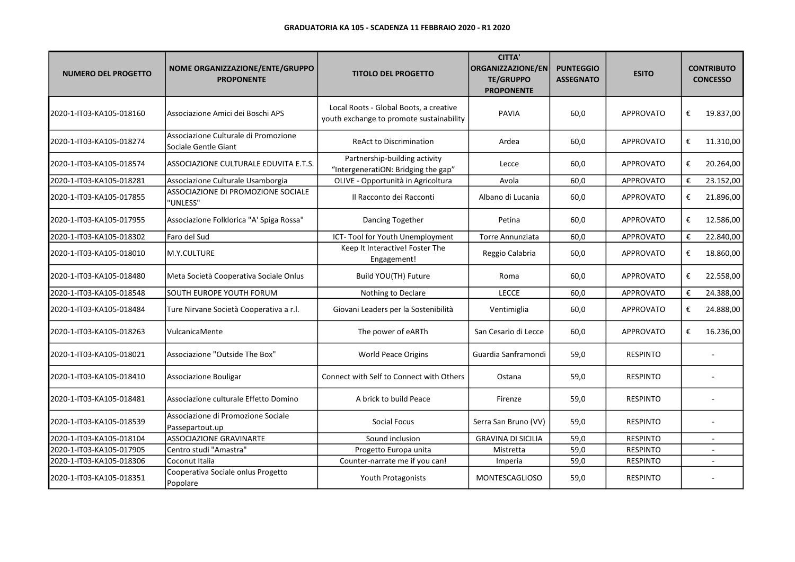| <b>NUMERO DEL PROGETTO</b> | NOME ORGANIZZAZIONE/ENTE/GRUPPO<br><b>PROPONENTE</b>         | <b>TITOLO DEL PROGETTO</b>                                                         | <b>CITTA'</b><br>ORGANIZZAZIONE/EN<br><b>TE/GRUPPO</b><br><b>PROPONENTE</b> | <b>PUNTEGGIO</b><br><b>ASSEGNATO</b> | <b>ESITO</b>     |   | <b>CONTRIBUTO</b><br><b>CONCESSO</b> |
|----------------------------|--------------------------------------------------------------|------------------------------------------------------------------------------------|-----------------------------------------------------------------------------|--------------------------------------|------------------|---|--------------------------------------|
| 2020-1-IT03-KA105-018160   | Associazione Amici dei Boschi APS                            | Local Roots - Global Boots, a creative<br>youth exchange to promote sustainability | <b>PAVIA</b>                                                                | 60,0                                 | <b>APPROVATO</b> | € | 19.837,00                            |
| 2020-1-IT03-KA105-018274   | Associazione Culturale di Promozione<br>Sociale Gentle Giant | <b>ReAct to Discrimination</b>                                                     | Ardea                                                                       | 60,0                                 | <b>APPROVATO</b> | € | 11.310,00                            |
| 2020-1-IT03-KA105-018574   | ASSOCIAZIONE CULTURALE EDUVITA E.T.S.                        | Partnership-building activity<br>"IntergeneratiON: Bridging the gap"               | Lecce                                                                       | 60,0                                 | <b>APPROVATO</b> | € | 20.264,00                            |
| 2020-1-IT03-KA105-018281   | Associazione Culturale Usamborgia                            | OLIVE - Opportunità in Agricoltura                                                 | Avola                                                                       | 60,0                                 | <b>APPROVATO</b> | € | 23.152,00                            |
| 2020-1-IT03-KA105-017855   | ASSOCIAZIONE DI PROMOZIONE SOCIALE<br>'UNLESS"               | Il Racconto dei Racconti                                                           | Albano di Lucania                                                           | 60,0                                 | <b>APPROVATO</b> | € | 21.896,00                            |
| 2020-1-IT03-KA105-017955   | Associazione Folklorica "A' Spiga Rossa"                     | Dancing Together                                                                   | Petina                                                                      | 60,0                                 | <b>APPROVATO</b> | € | 12.586,00                            |
| 2020-1-IT03-KA105-018302   | Faro del Sud                                                 | ICT-Tool for Youth Unemployment                                                    | <b>Torre Annunziata</b>                                                     | 60,0                                 | <b>APPROVATO</b> | € | 22.840,00                            |
| 2020-1-IT03-KA105-018010   | M.Y.CULTURE                                                  | Keep It Interactive! Foster The<br>Engagement!                                     | Reggio Calabria                                                             | 60,0                                 | <b>APPROVATO</b> | € | 18.860,00                            |
| 2020-1-IT03-KA105-018480   | Meta Società Cooperativa Sociale Onlus                       | Build YOU(TH) Future                                                               | Roma                                                                        | 60,0                                 | <b>APPROVATO</b> | € | 22.558,00                            |
| 2020-1-IT03-KA105-018548   | SOUTH EUROPE YOUTH FORUM                                     | Nothing to Declare                                                                 | <b>LECCE</b>                                                                | 60,0                                 | APPROVATO        | € | 24.388,00                            |
| 2020-1-IT03-KA105-018484   | Ture Nirvane Società Cooperativa a r.l.                      | Giovani Leaders per la Sostenibilità                                               | Ventimiglia                                                                 | 60,0                                 | <b>APPROVATO</b> | € | 24.888,00                            |
| 2020-1-IT03-KA105-018263   | VulcanicaMente                                               | The power of eARTh                                                                 | San Cesario di Lecce                                                        | 60,0                                 | <b>APPROVATO</b> | € | 16.236,00                            |
| 2020-1-IT03-KA105-018021   | Associazione "Outside The Box"                               | <b>World Peace Origins</b>                                                         | Guardia Sanframondi                                                         | 59,0                                 | <b>RESPINTO</b>  |   |                                      |
| 2020-1-IT03-KA105-018410   | Associazione Bouligar                                        | Connect with Self to Connect with Others                                           | Ostana                                                                      | 59,0                                 | <b>RESPINTO</b>  |   |                                      |
| 2020-1-IT03-KA105-018481   | Associazione culturale Effetto Domino                        | A brick to build Peace                                                             | Firenze                                                                     | 59,0                                 | <b>RESPINTO</b>  |   |                                      |
| 2020-1-IT03-KA105-018539   | Associazione di Promozione Sociale<br>Passepartout.up        | <b>Social Focus</b>                                                                | Serra San Bruno (VV)                                                        | 59,0                                 | <b>RESPINTO</b>  |   |                                      |
| 2020-1-IT03-KA105-018104   | <b>ASSOCIAZIONE GRAVINARTE</b>                               | Sound inclusion                                                                    | <b>GRAVINA DI SICILIA</b>                                                   | 59,0                                 | <b>RESPINTO</b>  |   | $\overline{\phantom{a}}$             |
| 2020-1-IT03-KA105-017905   | Centro studi "Amastra"                                       | Progetto Europa unita                                                              | Mistretta                                                                   | 59,0                                 | <b>RESPINTO</b>  |   |                                      |
| 2020-1-IT03-KA105-018306   | Coconut Italia                                               | Counter-narrate me if you can!                                                     | Imperia                                                                     | 59,0                                 | <b>RESPINTO</b>  |   |                                      |
| 2020-1-IT03-KA105-018351   | Cooperativa Sociale onlus Progetto<br>Popolare               | Youth Protagonists                                                                 | <b>MONTESCAGLIOSO</b>                                                       | 59,0                                 | <b>RESPINTO</b>  |   |                                      |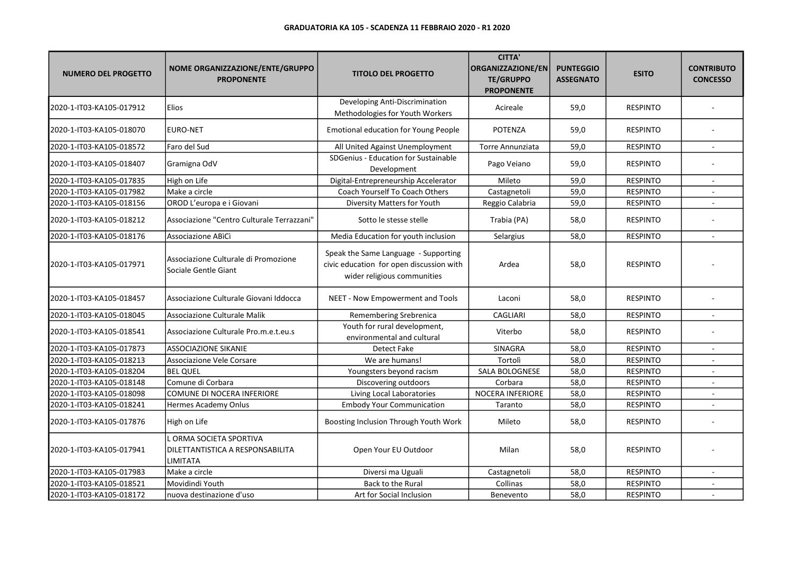| <b>NUMERO DEL PROGETTO</b> | NOME ORGANIZZAZIONE/ENTE/GRUPPO<br><b>PROPONENTE</b>                  | <b>TITOLO DEL PROGETTO</b>                                                                                      | <b>CITTA'</b><br><b>ORGANIZZAZIONE/EN</b><br><b>TE/GRUPPO</b><br><b>PROPONENTE</b> | <b>PUNTEGGIO</b><br><b>ASSEGNATO</b> | <b>ESITO</b>    | <b>CONTRIBUTO</b><br><b>CONCESSO</b> |
|----------------------------|-----------------------------------------------------------------------|-----------------------------------------------------------------------------------------------------------------|------------------------------------------------------------------------------------|--------------------------------------|-----------------|--------------------------------------|
| 2020-1-IT03-KA105-017912   | Elios                                                                 | Developing Anti-Discrimination<br>Methodologies for Youth Workers                                               | Acireale                                                                           | 59,0                                 | <b>RESPINTO</b> |                                      |
| 2020-1-IT03-KA105-018070   | <b>EURO-NET</b>                                                       | <b>Emotional education for Young People</b>                                                                     | <b>POTENZA</b>                                                                     | 59,0                                 | <b>RESPINTO</b> |                                      |
| 2020-1-IT03-KA105-018572   | Faro del Sud                                                          | All United Against Unemployment                                                                                 | <b>Torre Annunziata</b>                                                            | 59,0                                 | <b>RESPINTO</b> |                                      |
| 2020-1-IT03-KA105-018407   | Gramigna OdV                                                          | SDGenius - Education for Sustainable<br>Development                                                             | Pago Veiano                                                                        | 59,0                                 | <b>RESPINTO</b> |                                      |
| 2020-1-IT03-KA105-017835   | High on Life                                                          | Digital-Entrepreneurship Accelerator                                                                            | Mileto                                                                             | 59,0                                 | <b>RESPINTO</b> | $\sim$                               |
| 2020-1-IT03-KA105-017982   | Make a circle                                                         | Coach Yourself To Coach Others                                                                                  | Castagnetoli                                                                       | 59,0                                 | <b>RESPINTO</b> |                                      |
| 2020-1-IT03-KA105-018156   | OROD L'europa e i Giovani                                             | Diversity Matters for Youth                                                                                     | Reggio Calabria                                                                    | 59,0                                 | <b>RESPINTO</b> |                                      |
| 2020-1-IT03-KA105-018212   | Associazione "Centro Culturale Terrazzani"                            | Sotto le stesse stelle                                                                                          | Trabia (PA)                                                                        | 58,0                                 | <b>RESPINTO</b> |                                      |
| 2020-1-IT03-KA105-018176   | Associazione ABICI                                                    | Media Education for youth inclusion                                                                             | Selargius                                                                          | 58,0                                 | <b>RESPINTO</b> |                                      |
| 2020-1-IT03-KA105-017971   | Associazione Culturale di Promozione<br>Sociale Gentle Giant          | Speak the Same Language - Supporting<br>civic education for open discussion with<br>wider religious communities | Ardea                                                                              | 58,0                                 | <b>RESPINTO</b> |                                      |
| 2020-1-IT03-KA105-018457   | Associazione Culturale Giovani Iddocca                                | NEET - Now Empowerment and Tools                                                                                | Laconi                                                                             | 58,0                                 | <b>RESPINTO</b> |                                      |
| 2020-1-IT03-KA105-018045   | Associazione Culturale Malik                                          | Remembering Srebrenica                                                                                          | <b>CAGLIARI</b>                                                                    | 58,0                                 | <b>RESPINTO</b> |                                      |
| 2020-1-IT03-KA105-018541   | Associazione Culturale Pro.m.e.t.eu.s                                 | Youth for rural development,<br>environmental and cultural                                                      | Viterbo                                                                            | 58,0                                 | <b>RESPINTO</b> |                                      |
| 2020-1-IT03-KA105-017873   | <b>ASSOCIAZIONE SIKANIE</b>                                           | Detect Fake                                                                                                     | <b>SINAGRA</b>                                                                     | 58,0                                 | <b>RESPINTO</b> | $\sim$                               |
| 2020-1-IT03-KA105-018213   | Associazione Vele Corsare                                             | We are humans!                                                                                                  | Tortolì                                                                            | 58,0                                 | <b>RESPINTO</b> |                                      |
| 2020-1-IT03-KA105-018204   | <b>BEL QUEL</b>                                                       | Youngsters beyond racism                                                                                        | <b>SALA BOLOGNESE</b>                                                              | 58,0                                 | <b>RESPINTO</b> |                                      |
| 2020-1-IT03-KA105-018148   | Comune di Corbara                                                     | Discovering outdoors                                                                                            | Corbara                                                                            | 58,0                                 | <b>RESPINTO</b> | $\sim$                               |
| 2020-1-IT03-KA105-018098   | COMUNE DI NOCERA INFERIORE                                            | Living Local Laboratories                                                                                       | <b>NOCERA INFERIORE</b>                                                            | 58,0                                 | <b>RESPINTO</b> |                                      |
| 2020-1-IT03-KA105-018241   | Hermes Academy Onlus                                                  | <b>Embody Your Communication</b>                                                                                | Taranto                                                                            | 58,0                                 | <b>RESPINTO</b> |                                      |
| 2020-1-IT03-KA105-017876   | High on Life                                                          | Boosting Inclusion Through Youth Work                                                                           | Mileto                                                                             | 58,0                                 | <b>RESPINTO</b> |                                      |
| 2020-1-IT03-KA105-017941   | ORMA SOCIETA SPORTIVA<br>DILETTANTISTICA A RESPONSABILITA<br>LIMITATA | Open Your EU Outdoor                                                                                            | Milan                                                                              | 58,0                                 | <b>RESPINTO</b> |                                      |
| 2020-1-IT03-KA105-017983   | Make a circle                                                         | Diversi ma Uguali                                                                                               | Castagnetoli                                                                       | 58,0                                 | <b>RESPINTO</b> |                                      |
| 2020-1-IT03-KA105-018521   | Movidindi Youth                                                       | Back to the Rural                                                                                               | Collinas                                                                           | 58,0                                 | <b>RESPINTO</b> |                                      |
| 2020-1-IT03-KA105-018172   | nuova destinazione d'uso                                              | Art for Social Inclusion                                                                                        | Benevento                                                                          | 58,0                                 | <b>RESPINTO</b> |                                      |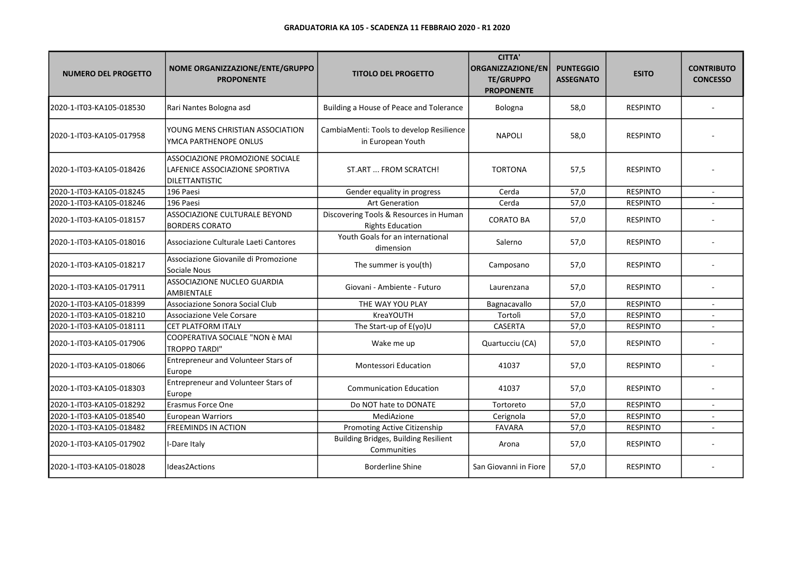| <b>NUMERO DEL PROGETTO</b> | NOME ORGANIZZAZIONE/ENTE/GRUPPO<br><b>PROPONENTE</b>                                | <b>TITOLO DEL PROGETTO</b>                                        | <b>CITTA'</b><br><b>ORGANIZZAZIONE/EN</b><br><b>TE/GRUPPO</b><br><b>PROPONENTE</b> | <b>PUNTEGGIO</b><br><b>ASSEGNATO</b> | <b>ESITO</b>    | <b>CONTRIBUTO</b><br><b>CONCESSO</b> |
|----------------------------|-------------------------------------------------------------------------------------|-------------------------------------------------------------------|------------------------------------------------------------------------------------|--------------------------------------|-----------------|--------------------------------------|
| 2020-1-IT03-KA105-018530   | Rari Nantes Bologna asd                                                             | Building a House of Peace and Tolerance                           | Bologna                                                                            | 58,0                                 | <b>RESPINTO</b> |                                      |
| 2020-1-IT03-KA105-017958   | YOUNG MENS CHRISTIAN ASSOCIATION<br>YMCA PARTHENOPE ONLUS                           | CambiaMenti: Tools to develop Resilience<br>in European Youth     | <b>NAPOLI</b>                                                                      | 58,0                                 | <b>RESPINTO</b> |                                      |
| 2020-1-IT03-KA105-018426   | ASSOCIAZIONE PROMOZIONE SOCIALE<br>LAFENICE ASSOCIAZIONE SPORTIVA<br>DILETTANTISTIC | ST.ART  FROM SCRATCH!                                             | <b>TORTONA</b>                                                                     | 57,5                                 | <b>RESPINTO</b> |                                      |
| 2020-1-IT03-KA105-018245   | 196 Paesi                                                                           | Gender equality in progress                                       | Cerda                                                                              | 57,0                                 | <b>RESPINTO</b> |                                      |
| 2020-1-IT03-KA105-018246   | 196 Paesi                                                                           | <b>Art Generation</b>                                             | Cerda                                                                              | 57,0                                 | <b>RESPINTO</b> |                                      |
| 2020-1-IT03-KA105-018157   | ASSOCIAZIONE CULTURALE BEYOND<br><b>BORDERS CORATO</b>                              | Discovering Tools & Resources in Human<br><b>Rights Education</b> | <b>CORATO BA</b>                                                                   | 57,0                                 | <b>RESPINTO</b> |                                      |
| 2020-1-IT03-KA105-018016   | Associazione Culturale Laeti Cantores                                               | Youth Goals for an international<br>dimension                     | Salerno                                                                            | 57,0                                 | <b>RESPINTO</b> |                                      |
| 2020-1-IT03-KA105-018217   | Associazione Giovanile di Promozione<br>Sociale Nous                                | The summer is you(th)                                             | Camposano                                                                          | 57,0                                 | <b>RESPINTO</b> |                                      |
| 2020-1-IT03-KA105-017911   | ASSOCIAZIONE NUCLEO GUARDIA<br><b>AMBIENTALE</b>                                    | Giovani - Ambiente - Futuro                                       | Laurenzana                                                                         | 57,0                                 | <b>RESPINTO</b> |                                      |
| 2020-1-IT03-KA105-018399   | Associazione Sonora Social Club                                                     | THE WAY YOU PLAY                                                  | Bagnacavallo                                                                       | 57,0                                 | <b>RESPINTO</b> |                                      |
| 2020-1-IT03-KA105-018210   | Associazione Vele Corsare                                                           | KreaYOUTH                                                         | Tortolì                                                                            | 57,0                                 | <b>RESPINTO</b> |                                      |
| 2020-1-IT03-KA105-018111   | <b>CET PLATFORM ITALY</b>                                                           | The Start-up of E(yo)U                                            | CASERTA                                                                            | 57,0                                 | <b>RESPINTO</b> |                                      |
| 2020-1-IT03-KA105-017906   | COOPERATIVA SOCIALE "NON è MAI<br><b>TROPPO TARDI"</b>                              | Wake me up                                                        | Quartucciu (CA)                                                                    | 57,0                                 | <b>RESPINTO</b> |                                      |
| 2020-1-IT03-KA105-018066   | Entrepreneur and Volunteer Stars of<br>Europe                                       | Montessori Education                                              | 41037                                                                              | 57,0                                 | <b>RESPINTO</b> |                                      |
| 2020-1-IT03-KA105-018303   | Entrepreneur and Volunteer Stars of<br>Europe                                       | <b>Communication Education</b>                                    | 41037                                                                              | 57,0                                 | <b>RESPINTO</b> |                                      |
| 2020-1-IT03-KA105-018292   | Erasmus Force One                                                                   | Do NOT hate to DONATE                                             | Tortoreto                                                                          | 57,0                                 | <b>RESPINTO</b> |                                      |
| 2020-1-IT03-KA105-018540   | <b>European Warriors</b>                                                            | MediAzione                                                        | Cerignola                                                                          | 57,0                                 | <b>RESPINTO</b> |                                      |
| 2020-1-IT03-KA105-018482   | <b>FREEMINDS IN ACTION</b>                                                          | Promoting Active Citizenship                                      | <b>FAVARA</b>                                                                      | 57,0                                 | <b>RESPINTO</b> |                                      |
| 2020-1-IT03-KA105-017902   | I-Dare Italy                                                                        | <b>Building Bridges, Building Resilient</b><br>Communities        | Arona                                                                              | 57,0                                 | <b>RESPINTO</b> |                                      |
| 2020-1-IT03-KA105-018028   | <b>Ideas2Actions</b>                                                                | Borderline Shine                                                  | San Giovanni in Fiore                                                              | 57,0                                 | <b>RESPINTO</b> |                                      |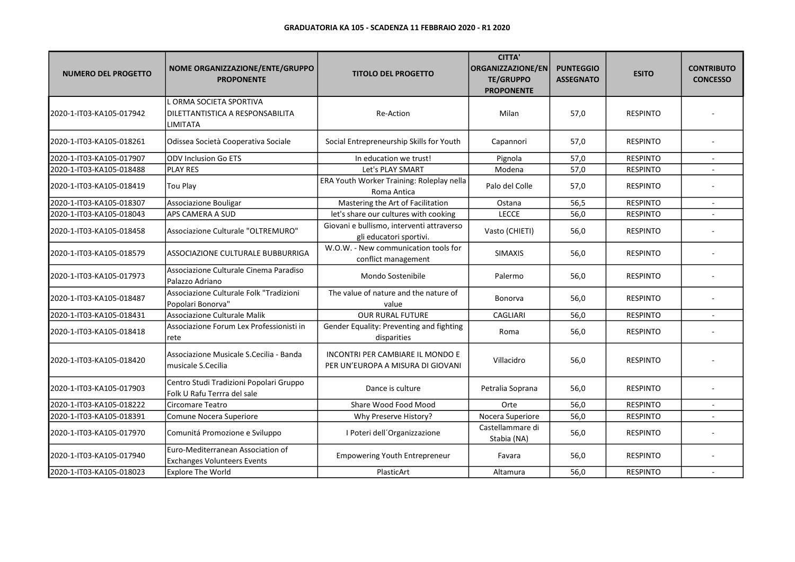| <b>NUMERO DEL PROGETTO</b> | NOME ORGANIZZAZIONE/ENTE/GRUPPO<br><b>PROPONENTE</b>                    | <b>TITOLO DEL PROGETTO</b>                                                   | <b>CITTA'</b><br>ORGANIZZAZIONE/EN<br><b>TE/GRUPPO</b><br><b>PROPONENTE</b> | <b>PUNTEGGIO</b><br><b>ASSEGNATO</b> | <b>ESITO</b>    | <b>CONTRIBUTO</b><br><b>CONCESSO</b> |
|----------------------------|-------------------------------------------------------------------------|------------------------------------------------------------------------------|-----------------------------------------------------------------------------|--------------------------------------|-----------------|--------------------------------------|
| 2020-1-IT03-KA105-017942   | L ORMA SOCIETA SPORTIVA<br>DILETTANTISTICA A RESPONSABILITA<br>LIMITATA | <b>Re-Action</b>                                                             | Milan                                                                       | 57,0                                 | <b>RESPINTO</b> |                                      |
| 2020-1-IT03-KA105-018261   | Odissea Società Cooperativa Sociale                                     | Social Entrepreneurship Skills for Youth                                     | Capannori                                                                   | 57,0                                 | <b>RESPINTO</b> |                                      |
| 2020-1-IT03-KA105-017907   | <b>ODV Inclusion Go ETS</b>                                             | In education we trust!                                                       | Pignola                                                                     | 57,0                                 | <b>RESPINTO</b> |                                      |
| 2020-1-IT03-KA105-018488   | <b>PLAY RES</b>                                                         | Let's PLAY SMART                                                             | Modena                                                                      | 57,0                                 | <b>RESPINTO</b> |                                      |
| 2020-1-IT03-KA105-018419   | Tou Play                                                                | ERA Youth Worker Training: Roleplay nella<br>Roma Antica                     | Palo del Colle                                                              | 57,0                                 | <b>RESPINTO</b> |                                      |
| 2020-1-IT03-KA105-018307   | Associazione Bouligar                                                   | Mastering the Art of Facilitation                                            | Ostana                                                                      | 56,5                                 | <b>RESPINTO</b> |                                      |
| 2020-1-IT03-KA105-018043   | APS CAMERA A SUD                                                        | let's share our cultures with cooking                                        | <b>LECCE</b>                                                                | 56,0                                 | <b>RESPINTO</b> |                                      |
| 2020-1-IT03-KA105-018458   | Associazione Culturale "OLTREMURO"                                      | Giovani e bullismo, interventi attraverso<br>gli educatori sportivi.         | Vasto (CHIETI)                                                              | 56,0                                 | <b>RESPINTO</b> |                                      |
| 2020-1-IT03-KA105-018579   | ASSOCIAZIONE CULTURALE BUBBURRIGA                                       | W.O.W. - New communication tools for<br>conflict management                  | <b>SIMAXIS</b>                                                              | 56,0                                 | <b>RESPINTO</b> |                                      |
| 2020-1-IT03-KA105-017973   | Associazione Culturale Cinema Paradiso<br>Palazzo Adriano               | Mondo Sostenibile                                                            | Palermo                                                                     | 56,0                                 | <b>RESPINTO</b> |                                      |
| 2020-1-IT03-KA105-018487   | Associazione Culturale Folk "Tradizioni<br>Popolari Bonorva"            | The value of nature and the nature of<br>value                               | Bonorva                                                                     | 56,0                                 | <b>RESPINTO</b> |                                      |
| 2020-1-IT03-KA105-018431   | Associazione Culturale Malik                                            | <b>OUR RURAL FUTURE</b>                                                      | <b>CAGLIARI</b>                                                             | 56,0                                 | <b>RESPINTO</b> |                                      |
| 2020-1-IT03-KA105-018418   | Associazione Forum Lex Professionisti in<br>rete                        | Gender Equality: Preventing and fighting<br>disparities                      | Roma                                                                        | 56,0                                 | <b>RESPINTO</b> |                                      |
| 2020-1-IT03-KA105-018420   | Associazione Musicale S.Cecilia - Banda<br>musicale S.Cecilia           | <b>INCONTRI PER CAMBIARE IL MONDO E</b><br>PER UN'EUROPA A MISURA DI GIOVANI | Villacidro                                                                  | 56,0                                 | <b>RESPINTO</b> |                                      |
| 2020-1-IT03-KA105-017903   | Centro Studi Tradizioni Popolari Gruppo<br>Folk U Rafu Terrra del sale  | Dance is culture                                                             | Petralia Soprana                                                            | 56,0                                 | <b>RESPINTO</b> |                                      |
| 2020-1-IT03-KA105-018222   | Circomare Teatro                                                        | Share Wood Food Mood                                                         | Orte                                                                        | 56,0                                 | <b>RESPINTO</b> | ×.                                   |
| 2020-1-IT03-KA105-018391   | Comune Nocera Superiore                                                 | Why Preserve History?                                                        | Nocera Superiore                                                            | 56,0                                 | <b>RESPINTO</b> |                                      |
| 2020-1-IT03-KA105-017970   | Comunitá Promozione e Sviluppo                                          | I Poteri dell'Organizzazione                                                 | Castellammare di<br>Stabia (NA)                                             | 56,0                                 | <b>RESPINTO</b> |                                      |
| 2020-1-IT03-KA105-017940   | Euro-Mediterranean Association of<br><b>Exchanges Volunteers Events</b> | <b>Empowering Youth Entrepreneur</b>                                         | Favara                                                                      | 56,0                                 | <b>RESPINTO</b> |                                      |
| 2020-1-IT03-KA105-018023   | <b>Explore The World</b>                                                | PlasticArt                                                                   | Altamura                                                                    | 56,0                                 | <b>RESPINTO</b> |                                      |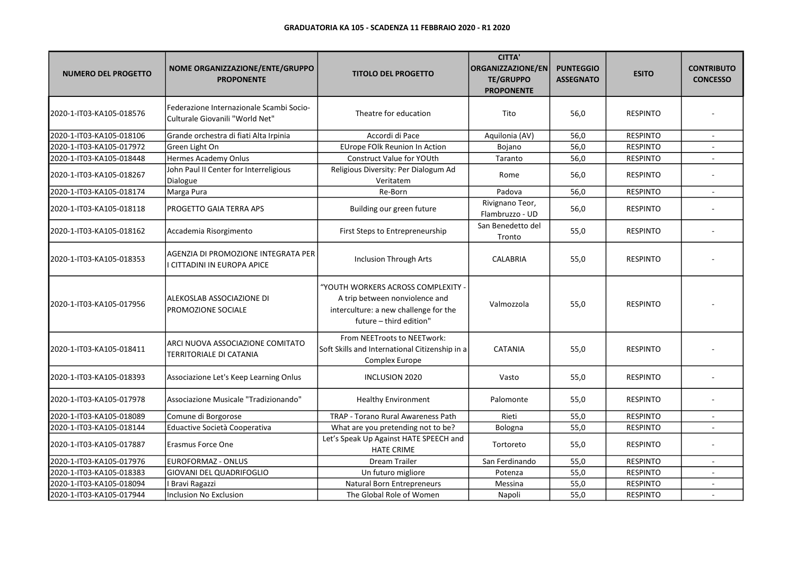| <b>NUMERO DEL PROGETTO</b> | NOME ORGANIZZAZIONE/ENTE/GRUPPO<br><b>PROPONENTE</b>                        | <b>TITOLO DEL PROGETTO</b>                                                                                                             | <b>CITTA'</b><br><b>ORGANIZZAZIONE/EN</b><br><b>TE/GRUPPO</b><br><b>PROPONENTE</b> | <b>PUNTEGGIO</b><br><b>ASSEGNATO</b> | <b>ESITO</b>    | <b>CONTRIBUTO</b><br><b>CONCESSO</b> |
|----------------------------|-----------------------------------------------------------------------------|----------------------------------------------------------------------------------------------------------------------------------------|------------------------------------------------------------------------------------|--------------------------------------|-----------------|--------------------------------------|
| 2020-1-IT03-KA105-018576   | Federazione Internazionale Scambi Socio-<br>Culturale Giovanili "World Net" | Theatre for education                                                                                                                  | Tito                                                                               | 56,0                                 | <b>RESPINTO</b> |                                      |
| 2020-1-IT03-KA105-018106   | Grande orchestra di fiati Alta Irpinia                                      | Accordi di Pace                                                                                                                        | Aquilonia (AV)                                                                     | 56,0                                 | <b>RESPINTO</b> |                                      |
| 2020-1-IT03-KA105-017972   | Green Light On                                                              | EUrope FOlk Reunion In Action                                                                                                          | Bojano                                                                             | 56,0                                 | <b>RESPINTO</b> |                                      |
| 2020-1-IT03-KA105-018448   | Hermes Academy Onlus                                                        | Construct Value for YOUth                                                                                                              | Taranto                                                                            | 56,0                                 | <b>RESPINTO</b> |                                      |
| 2020-1-IT03-KA105-018267   | John Paul II Center for Interreligious<br>Dialogue                          | Religious Diversity: Per Dialogum Ad<br>Veritatem                                                                                      | Rome                                                                               | 56,0                                 | <b>RESPINTO</b> |                                      |
| 2020-1-IT03-KA105-018174   | Marga Pura                                                                  | Re-Born                                                                                                                                | Padova                                                                             | 56,0                                 | <b>RESPINTO</b> | $\blacksquare$                       |
| 2020-1-IT03-KA105-018118   | PROGETTO GAIA TERRA APS                                                     | Building our green future                                                                                                              | Rivignano Teor,<br>Flambruzzo - UD                                                 | 56,0                                 | <b>RESPINTO</b> |                                      |
| 2020-1-IT03-KA105-018162   | Accademia Risorgimento                                                      | First Steps to Entrepreneurship                                                                                                        | San Benedetto del<br>Tronto                                                        | 55,0                                 | <b>RESPINTO</b> |                                      |
| 2020-1-IT03-KA105-018353   | AGENZIA DI PROMOZIONE INTEGRATA PER<br>I CITTADINI IN EUROPA APICE          | <b>Inclusion Through Arts</b>                                                                                                          | <b>CALABRIA</b>                                                                    | 55,0                                 | <b>RESPINTO</b> |                                      |
| 2020-1-IT03-KA105-017956   | ALEKOSLAB ASSOCIAZIONE DI<br>PROMOZIONE SOCIALE                             | "YOUTH WORKERS ACROSS COMPLEXITY<br>A trip between nonviolence and<br>interculture: a new challenge for the<br>future - third edition" | Valmozzola                                                                         | 55,0                                 | <b>RESPINTO</b> |                                      |
| 2020-1-IT03-KA105-018411   | ARCI NUOVA ASSOCIAZIONE COMITATO<br><b>TERRITORIALE DI CATANIA</b>          | From NEETroots to NEETwork:<br>Soft Skills and International Citizenship in a<br>Complex Europe                                        | <b>CATANIA</b>                                                                     | 55,0                                 | <b>RESPINTO</b> |                                      |
| 2020-1-IT03-KA105-018393   | Associazione Let's Keep Learning Onlus                                      | INCLUSION 2020                                                                                                                         | Vasto                                                                              | 55,0                                 | <b>RESPINTO</b> |                                      |
| 2020-1-IT03-KA105-017978   | Associazione Musicale "Tradizionando"                                       | <b>Healthy Environment</b>                                                                                                             | Palomonte                                                                          | 55,0                                 | <b>RESPINTO</b> |                                      |
| 2020-1-IT03-KA105-018089   | Comune di Borgorose                                                         | TRAP - Torano Rural Awareness Path                                                                                                     | Rieti                                                                              | 55,0                                 | <b>RESPINTO</b> |                                      |
| 2020-1-IT03-KA105-018144   | Eduactive Società Cooperativa                                               | What are you pretending not to be?                                                                                                     | Bologna                                                                            | 55,0                                 | <b>RESPINTO</b> | $\overline{a}$                       |
| 2020-1-IT03-KA105-017887   | Erasmus Force One                                                           | Let's Speak Up Against HATE SPEECH and<br><b>HATE CRIME</b>                                                                            | Tortoreto                                                                          | 55,0                                 | <b>RESPINTO</b> |                                      |
| 2020-1-IT03-KA105-017976   | EUROFORMAZ - ONLUS                                                          | <b>Dream Trailer</b>                                                                                                                   | San Ferdinando                                                                     | 55,0                                 | <b>RESPINTO</b> |                                      |
| 2020-1-IT03-KA105-018383   | <b>GIOVANI DEL QUADRIFOGLIO</b>                                             | Un futuro migliore                                                                                                                     | Potenza                                                                            | 55,0                                 | <b>RESPINTO</b> | $\sim$                               |
| 2020-1-IT03-KA105-018094   | I Bravi Ragazzi                                                             | <b>Natural Born Entrepreneurs</b>                                                                                                      | Messina                                                                            | 55,0                                 | <b>RESPINTO</b> |                                      |
| 2020-1-IT03-KA105-017944   | <b>Inclusion No Exclusion</b>                                               | The Global Role of Women                                                                                                               | Napoli                                                                             | 55,0                                 | <b>RESPINTO</b> |                                      |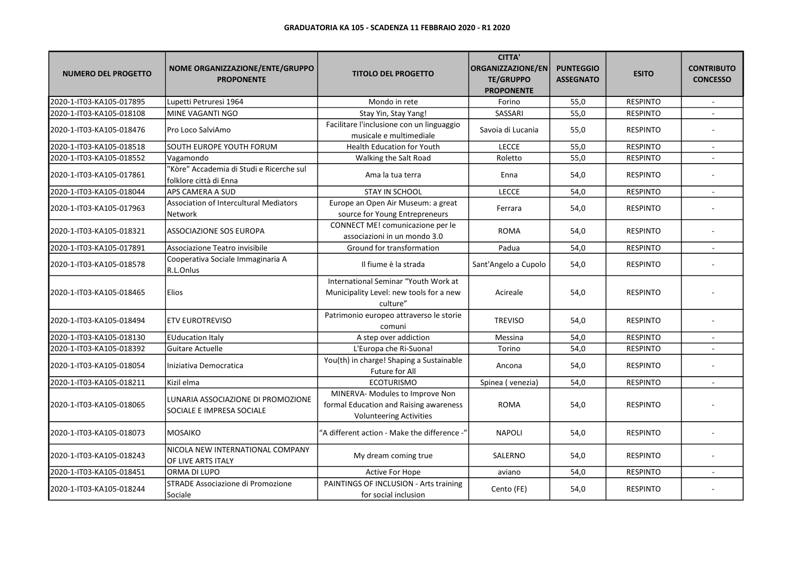| <b>NUMERO DEL PROGETTO</b> | NOME ORGANIZZAZIONE/ENTE/GRUPPO<br><b>PROPONENTE</b>               | <b>TITOLO DEL PROGETTO</b>                                                                                  | <b>CITTA'</b><br><b>ORGANIZZAZIONE/EN</b><br><b>TE/GRUPPO</b><br><b>PROPONENTE</b> | <b>PUNTEGGIO</b><br><b>ASSEGNATO</b> | <b>ESITO</b>    | <b>CONTRIBUTO</b><br><b>CONCESSO</b> |
|----------------------------|--------------------------------------------------------------------|-------------------------------------------------------------------------------------------------------------|------------------------------------------------------------------------------------|--------------------------------------|-----------------|--------------------------------------|
| 2020-1-IT03-KA105-017895   | Lupetti Petruresi 1964                                             | Mondo in rete                                                                                               | Forino                                                                             | 55,0                                 | <b>RESPINTO</b> | $\sim$                               |
| 2020-1-IT03-KA105-018108   | MINE VAGANTI NGO                                                   | Stay Yin, Stay Yang!                                                                                        | SASSARI                                                                            | 55,0                                 | <b>RESPINTO</b> |                                      |
| 2020-1-IT03-KA105-018476   | Pro Loco SalviAmo                                                  | Facilitare l'inclusione con un linguaggio<br>musicale e multimediale                                        | Savoia di Lucania                                                                  | 55,0                                 | <b>RESPINTO</b> |                                      |
| 2020-1-IT03-KA105-018518   | SOUTH EUROPE YOUTH FORUM                                           | <b>Health Education for Youth</b>                                                                           | <b>LECCE</b>                                                                       | 55,0                                 | <b>RESPINTO</b> |                                      |
| 2020-1-IT03-KA105-018552   | Vagamondo                                                          | Walking the Salt Road                                                                                       | Roletto                                                                            | 55,0                                 | <b>RESPINTO</b> |                                      |
| 2020-1-IT03-KA105-017861   | 'Kòre" Accademia di Studi e Ricerche sul<br>folklore città di Enna | Ama la tua terra                                                                                            | Enna                                                                               | 54,0                                 | <b>RESPINTO</b> |                                      |
| 2020-1-IT03-KA105-018044   | APS CAMERA A SUD                                                   | <b>STAY IN SCHOOL</b>                                                                                       | <b>LECCE</b>                                                                       | 54,0                                 | <b>RESPINTO</b> |                                      |
| 2020-1-IT03-KA105-017963   | <b>Association of Intercultural Mediators</b><br>Network           | Europe an Open Air Museum: a great<br>source for Young Entrepreneurs                                        | Ferrara                                                                            | 54,0                                 | <b>RESPINTO</b> |                                      |
| 2020-1-IT03-KA105-018321   | ASSOCIAZIONE SOS EUROPA                                            | CONNECT ME! comunicazione per le<br>associazioni in un mondo 3.0                                            | <b>ROMA</b>                                                                        | 54,0                                 | <b>RESPINTO</b> |                                      |
| 2020-1-IT03-KA105-017891   | Associazione Teatro invisibile                                     | Ground for transformation                                                                                   | Padua                                                                              | 54,0                                 | <b>RESPINTO</b> |                                      |
| 2020-1-IT03-KA105-018578   | Cooperativa Sociale Immaginaria A<br>R.L.Onlus                     | Il fiume è la strada                                                                                        | Sant'Angelo a Cupolo                                                               | 54,0                                 | <b>RESPINTO</b> |                                      |
| 2020-1-IT03-KA105-018465   | <b>Elios</b>                                                       | International Seminar "Youth Work at<br>Municipality Level: new tools for a new<br>culture"                 | Acireale                                                                           | 54,0                                 | <b>RESPINTO</b> |                                      |
| 2020-1-IT03-KA105-018494   | <b>ETV EUROTREVISO</b>                                             | Patrimonio europeo attraverso le storie<br>comuni                                                           | <b>TREVISO</b>                                                                     | 54,0                                 | <b>RESPINTO</b> |                                      |
| 2020-1-IT03-KA105-018130   | <b>EUducation Italy</b>                                            | A step over addiction                                                                                       | Messina                                                                            | 54,0                                 | <b>RESPINTO</b> |                                      |
| 2020-1-IT03-KA105-018392   | <b>Guitare Actuelle</b>                                            | L'Europa che Ri-Suona!                                                                                      | Torino                                                                             | 54,0                                 | <b>RESPINTO</b> | $\sim$                               |
| 2020-1-IT03-KA105-018054   | Iniziativa Democratica                                             | You(th) in charge! Shaping a Sustainable<br>Future for All                                                  | Ancona                                                                             | 54,0                                 | <b>RESPINTO</b> |                                      |
| 2020-1-IT03-KA105-018211   | Kizil elma                                                         | <b>ECOTURISMO</b>                                                                                           | Spinea (venezia)                                                                   | 54,0                                 | <b>RESPINTO</b> | $\sim$                               |
| 2020-1-IT03-KA105-018065   | LUNARIA ASSOCIAZIONE DI PROMOZIONE<br>SOCIALE E IMPRESA SOCIALE    | MINERVA- Modules to Improve Non<br>formal Education and Raising awareness<br><b>Volunteering Activities</b> | <b>ROMA</b>                                                                        | 54,0                                 | <b>RESPINTO</b> |                                      |
| 2020-1-IT03-KA105-018073   | <b>MOSAIKO</b>                                                     | "A different action - Make the difference -"                                                                | <b>NAPOLI</b>                                                                      | 54,0                                 | <b>RESPINTO</b> |                                      |
| 2020-1-IT03-KA105-018243   | NICOLA NEW INTERNATIONAL COMPANY<br>OF LIVE ARTS ITALY             | My dream coming true                                                                                        | SALERNO                                                                            | 54,0                                 | <b>RESPINTO</b> |                                      |
| 2020-1-IT03-KA105-018451   | ORMA DI LUPO                                                       | Active For Hope                                                                                             | aviano                                                                             | 54,0                                 | <b>RESPINTO</b> |                                      |
| 2020-1-IT03-KA105-018244   | STRADE Associazione di Promozione<br>Sociale                       | PAINTINGS OF INCLUSION - Arts training<br>for social inclusion                                              | Cento (FE)                                                                         | 54,0                                 | <b>RESPINTO</b> |                                      |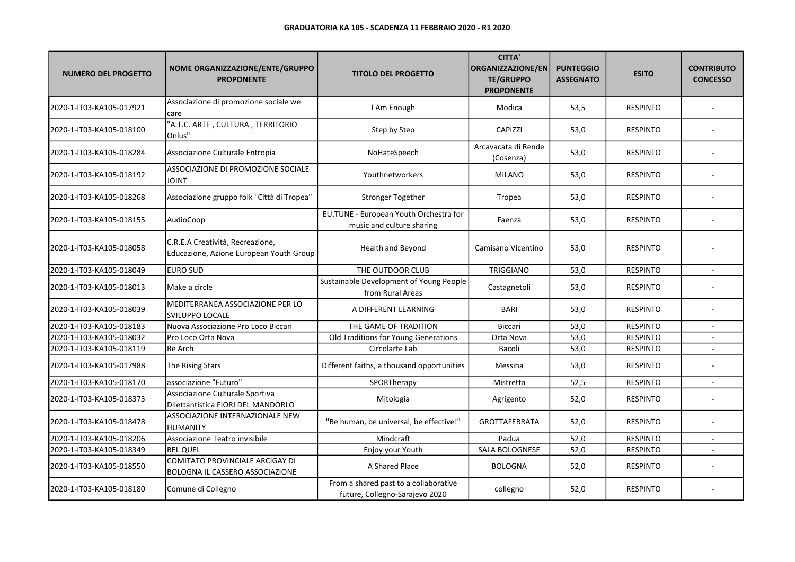| <b>NUMERO DEL PROGETTO</b> | NOME ORGANIZZAZIONE/ENTE/GRUPPO<br><b>PROPONENTE</b>                             | <b>TITOLO DEL PROGETTO</b>                                              | <b>CITTA'</b><br><b>ORGANIZZAZIONE/EN</b><br><b>TE/GRUPPO</b><br><b>PROPONENTE</b> | <b>PUNTEGGIO</b><br><b>ASSEGNATO</b> | <b>ESITO</b>    | <b>CONTRIBUTO</b><br><b>CONCESSO</b> |
|----------------------------|----------------------------------------------------------------------------------|-------------------------------------------------------------------------|------------------------------------------------------------------------------------|--------------------------------------|-----------------|--------------------------------------|
| 2020-1-IT03-KA105-017921   | Associazione di promozione sociale we<br>care                                    | I Am Enough                                                             | Modica                                                                             | 53,5                                 | <b>RESPINTO</b> |                                      |
| 2020-1-IT03-KA105-018100   | "A.T.C. ARTE, CULTURA, TERRITORIO<br>Onlus"                                      | Step by Step                                                            | <b>CAPIZZI</b>                                                                     | 53,0                                 | <b>RESPINTO</b> |                                      |
| 2020-1-IT03-KA105-018284   | Associazione Culturale Entropia                                                  | NoHateSpeech                                                            | Arcavacata di Rende<br>(Cosenza)                                                   | 53,0                                 | <b>RESPINTO</b> |                                      |
| 2020-1-IT03-KA105-018192   | ASSOCIAZIONE DI PROMOZIONE SOCIALE<br><b>JOINT</b>                               | Youthnetworkers                                                         | <b>MILANO</b>                                                                      | 53,0                                 | <b>RESPINTO</b> |                                      |
| 2020-1-IT03-KA105-018268   | Associazione gruppo folk "Città di Tropea"                                       | <b>Stronger Together</b>                                                | Tropea                                                                             | 53,0                                 | <b>RESPINTO</b> |                                      |
| 2020-1-IT03-KA105-018155   | AudioCoop                                                                        | EU.TUNE - European Youth Orchestra for<br>music and culture sharing     | Faenza                                                                             | 53,0                                 | <b>RESPINTO</b> |                                      |
| 2020-1-IT03-KA105-018058   | C.R.E.A Creatività, Recreazione,<br>Educazione, Azione European Youth Group      | Health and Beyond                                                       | Camisano Vicentino                                                                 | 53,0                                 | <b>RESPINTO</b> |                                      |
| 2020-1-IT03-KA105-018049   | <b>EURO SUD</b>                                                                  | THE OUTDOOR CLUB                                                        | <b>TRIGGIANO</b>                                                                   | 53,0                                 | <b>RESPINTO</b> | ×.                                   |
| 2020-1-IT03-KA105-018013   | Make a circle                                                                    | Sustainable Development of Young People<br>from Rural Areas             | Castagnetoli                                                                       | 53,0                                 | <b>RESPINTO</b> |                                      |
| 2020-1-IT03-KA105-018039   | MEDITERRANEA ASSOCIAZIONE PER LO<br><b>SVILUPPO LOCALE</b>                       | A DIFFERENT LEARNING                                                    | <b>BARI</b>                                                                        | 53,0                                 | <b>RESPINTO</b> |                                      |
| 2020-1-IT03-KA105-018183   | Nuova Associazione Pro Loco Biccari                                              | THE GAME OF TRADITION                                                   | Biccari                                                                            | 53,0                                 | <b>RESPINTO</b> |                                      |
| 2020-1-IT03-KA105-018032   | Pro Loco Orta Nova                                                               | Old Traditions for Young Generations                                    | Orta Nova                                                                          | 53,0                                 | <b>RESPINTO</b> |                                      |
| 2020-1-IT03-KA105-018119   | Re Arch                                                                          | Circolarte Lab                                                          | Bacoli                                                                             | 53,0                                 | <b>RESPINTO</b> | $\sim$                               |
| 2020-1-IT03-KA105-017988   | The Rising Stars                                                                 | Different faiths, a thousand opportunities                              | Messina                                                                            | 53,0                                 | <b>RESPINTO</b> |                                      |
| 2020-1-IT03-KA105-018170   | associazione "Futuro"                                                            | SPORTherapy                                                             | Mistretta                                                                          | 52,5                                 | <b>RESPINTO</b> |                                      |
| 2020-1-IT03-KA105-018373   | Associazione Culturale Sportiva<br>Dilettantistica FIORI DEL MANDORLO            | Mitologia                                                               | Agrigento                                                                          | 52,0                                 | <b>RESPINTO</b> |                                      |
| 2020-1-IT03-KA105-018478   | ASSOCIAZIONE INTERNAZIONALE NEW<br><b>HUMANITY</b>                               | "Be human, be universal, be effective!"                                 | <b>GROTTAFERRATA</b>                                                               | 52,0                                 | <b>RESPINTO</b> |                                      |
| 2020-1-IT03-KA105-018206   | Associazione Teatro invisibile                                                   | Mindcraft                                                               | Padua                                                                              | 52,0                                 | <b>RESPINTO</b> |                                      |
| 2020-1-IT03-KA105-018349   | <b>BEL QUEL</b>                                                                  | Enjoy your Youth                                                        | SALA BOLOGNESE                                                                     | 52,0                                 | <b>RESPINTO</b> |                                      |
| 2020-1-IT03-KA105-018550   | <b>COMITATO PROVINCIALE ARCIGAY DI</b><br><b>BOLOGNA IL CASSERO ASSOCIAZIONE</b> | A Shared Place                                                          | <b>BOLOGNA</b>                                                                     | 52,0                                 | <b>RESPINTO</b> |                                      |
| 2020-1-IT03-KA105-018180   | Comune di Collegno                                                               | From a shared past to a collaborative<br>future, Collegno-Sarajevo 2020 | collegno                                                                           | 52,0                                 | <b>RESPINTO</b> |                                      |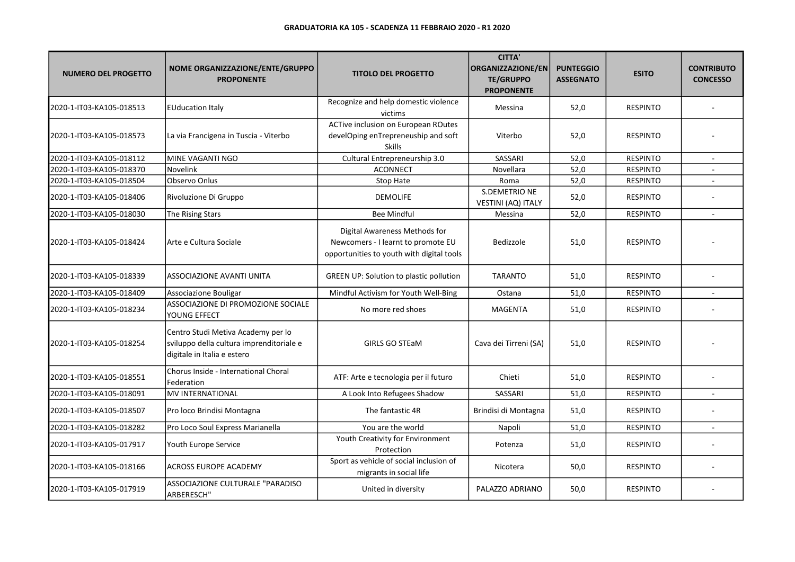| <b>NUMERO DEL PROGETTO</b> | <b>NOME ORGANIZZAZIONE/ENTE/GRUPPO</b><br><b>PROPONENTE</b>                                                   | <b>TITOLO DEL PROGETTO</b>                                                                                       | <b>CITTA'</b><br>ORGANIZZAZIONE/EN<br><b>TE/GRUPPO</b><br><b>PROPONENTE</b> | <b>PUNTEGGIO</b><br><b>ASSEGNATO</b> | <b>ESITO</b>    | <b>CONTRIBUTO</b><br><b>CONCESSO</b> |
|----------------------------|---------------------------------------------------------------------------------------------------------------|------------------------------------------------------------------------------------------------------------------|-----------------------------------------------------------------------------|--------------------------------------|-----------------|--------------------------------------|
| 2020-1-IT03-KA105-018513   | <b>EUducation Italy</b>                                                                                       | Recognize and help domestic violence<br>victims                                                                  | Messina                                                                     | 52,0                                 | <b>RESPINTO</b> |                                      |
| 2020-1-IT03-KA105-018573   | La via Francigena in Tuscia - Viterbo                                                                         | ACTive inclusion on European ROutes<br>develOping enTrepreneuship and soft<br><b>Skills</b>                      | Viterbo                                                                     | 52,0                                 | <b>RESPINTO</b> |                                      |
| 2020-1-IT03-KA105-018112   | MINE VAGANTI NGO                                                                                              | Cultural Entrepreneurship 3.0                                                                                    | SASSARI                                                                     | 52,0                                 | <b>RESPINTO</b> |                                      |
| 2020-1-IT03-KA105-018370   | Novelink                                                                                                      | <b>ACONNECT</b>                                                                                                  | Novellara                                                                   | 52,0                                 | <b>RESPINTO</b> |                                      |
| 2020-1-IT03-KA105-018504   | Observo Onlus                                                                                                 | Stop Hate                                                                                                        | Roma                                                                        | 52,0                                 | <b>RESPINTO</b> |                                      |
| 2020-1-IT03-KA105-018406   | Rivoluzione Di Gruppo                                                                                         | <b>DEMOLIFE</b>                                                                                                  | S.DEMETRIO NE<br>VESTINI (AQ) ITALY                                         | 52,0                                 | <b>RESPINTO</b> |                                      |
| 2020-1-IT03-KA105-018030   | The Rising Stars                                                                                              | <b>Bee Mindful</b>                                                                                               | Messina                                                                     | 52,0                                 | <b>RESPINTO</b> |                                      |
| 2020-1-IT03-KA105-018424   | Arte e Cultura Sociale                                                                                        | Digital Awareness Methods for<br>Newcomers - I learnt to promote EU<br>opportunities to youth with digital tools | Bedizzole                                                                   | 51,0                                 | <b>RESPINTO</b> |                                      |
| 2020-1-IT03-KA105-018339   | <b>ASSOCIAZIONE AVANTI UNITA</b>                                                                              | <b>GREEN UP: Solution to plastic pollution</b>                                                                   | <b>TARANTO</b>                                                              | 51,0                                 | <b>RESPINTO</b> |                                      |
| 2020-1-IT03-KA105-018409   | Associazione Bouligar                                                                                         | Mindful Activism for Youth Well-Bing                                                                             | Ostana                                                                      | 51,0                                 | <b>RESPINTO</b> |                                      |
| 2020-1-IT03-KA105-018234   | ASSOCIAZIONE DI PROMOZIONE SOCIALE<br>YOUNG EFFECT                                                            | No more red shoes                                                                                                | <b>MAGENTA</b>                                                              | 51,0                                 | <b>RESPINTO</b> |                                      |
| 2020-1-IT03-KA105-018254   | Centro Studi Metiva Academy per lo<br>sviluppo della cultura imprenditoriale e<br>digitale in Italia e estero | <b>GIRLS GO STEAM</b>                                                                                            | Cava dei Tirreni (SA)                                                       | 51,0                                 | <b>RESPINTO</b> |                                      |
| 2020-1-IT03-KA105-018551   | Chorus Inside - International Choral<br>Federation                                                            | ATF: Arte e tecnologia per il futuro                                                                             | Chieti                                                                      | 51,0                                 | <b>RESPINTO</b> |                                      |
| 2020-1-IT03-KA105-018091   | <b>MV INTERNATIONAL</b>                                                                                       | A Look Into Refugees Shadow                                                                                      | SASSARI                                                                     | 51,0                                 | <b>RESPINTO</b> | ×.                                   |
| 2020-1-IT03-KA105-018507   | Pro loco Brindisi Montagna                                                                                    | The fantastic 4R                                                                                                 | Brindisi di Montagna                                                        | 51,0                                 | <b>RESPINTO</b> |                                      |
| 2020-1-IT03-KA105-018282   | Pro Loco Soul Express Marianella                                                                              | You are the world                                                                                                | Napoli                                                                      | 51,0                                 | <b>RESPINTO</b> | $\overline{a}$                       |
| 2020-1-IT03-KA105-017917   | Youth Europe Service                                                                                          | Youth Creativity for Environment<br>Protection                                                                   | Potenza                                                                     | 51,0                                 | <b>RESPINTO</b> |                                      |
| 2020-1-IT03-KA105-018166   | <b>ACROSS EUROPE ACADEMY</b>                                                                                  | Sport as vehicle of social inclusion of<br>migrants in social life                                               | Nicotera                                                                    | 50,0                                 | <b>RESPINTO</b> |                                      |
| 2020-1-IT03-KA105-017919   | ASSOCIAZIONE CULTURALE "PARADISO<br>ARBERESCH"                                                                | United in diversity                                                                                              | PALAZZO ADRIANO                                                             | 50,0                                 | <b>RESPINTO</b> |                                      |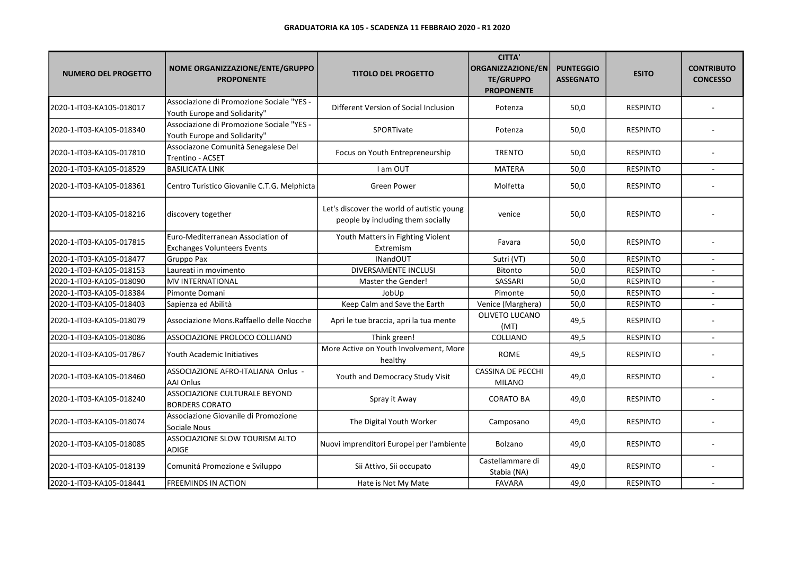| <b>NUMERO DEL PROGETTO</b> | NOME ORGANIZZAZIONE/ENTE/GRUPPO<br><b>PROPONENTE</b>                      | <b>TITOLO DEL PROGETTO</b>                                                      | <b>CITTA'</b><br><b>ORGANIZZAZIONE/EN</b><br><b>TE/GRUPPO</b><br><b>PROPONENTE</b> | <b>PUNTEGGIO</b><br><b>ASSEGNATO</b> | <b>ESITO</b>    | <b>CONTRIBUTO</b><br><b>CONCESSO</b> |
|----------------------------|---------------------------------------------------------------------------|---------------------------------------------------------------------------------|------------------------------------------------------------------------------------|--------------------------------------|-----------------|--------------------------------------|
| 2020-1-IT03-KA105-018017   | Associazione di Promozione Sociale "YES -<br>Youth Europe and Solidarity" | Different Version of Social Inclusion                                           | Potenza                                                                            | 50,0                                 | <b>RESPINTO</b> |                                      |
| 2020-1-IT03-KA105-018340   | Associazione di Promozione Sociale "YES -<br>Youth Europe and Solidarity" | SPORTivate                                                                      | Potenza                                                                            | 50,0                                 | <b>RESPINTO</b> |                                      |
| 2020-1-IT03-KA105-017810   | Associazone Comunità Senegalese Del<br>Trentino - ACSET                   | Focus on Youth Entrepreneurship                                                 | <b>TRENTO</b>                                                                      | 50,0                                 | <b>RESPINTO</b> |                                      |
| 2020-1-IT03-KA105-018529   | <b>BASILICATA LINK</b>                                                    | I am OUT                                                                        | <b>MATERA</b>                                                                      | 50,0                                 | <b>RESPINTO</b> |                                      |
| 2020-1-IT03-KA105-018361   | Centro Turistico Giovanile C.T.G. Melphicta                               | <b>Green Power</b>                                                              | Molfetta                                                                           | 50,0                                 | <b>RESPINTO</b> |                                      |
| 2020-1-IT03-KA105-018216   | discovery together                                                        | Let's discover the world of autistic young<br>people by including them socially | venice                                                                             | 50,0                                 | <b>RESPINTO</b> |                                      |
| 2020-1-IT03-KA105-017815   | Euro-Mediterranean Association of<br><b>Exchanges Volunteers Events</b>   | Youth Matters in Fighting Violent<br>Extremism                                  | Favara                                                                             | 50,0                                 | <b>RESPINTO</b> |                                      |
| 2020-1-IT03-KA105-018477   | Gruppo Pax                                                                | <b>INandOUT</b>                                                                 | Sutri (VT)                                                                         | 50,0                                 | <b>RESPINTO</b> | $\sim$                               |
| 2020-1-IT03-KA105-018153   | Laureati in movimento                                                     | <b>DIVERSAMENTE INCLUSI</b>                                                     | Bitonto                                                                            | 50,0                                 | <b>RESPINTO</b> |                                      |
| 2020-1-IT03-KA105-018090   | MV INTERNATIONAL                                                          | Master the Gender!                                                              | SASSARI                                                                            | 50,0                                 | <b>RESPINTO</b> | $\sim$                               |
| 2020-1-IT03-KA105-018384   | Pimonte Domani                                                            | JobUp                                                                           | Pimonte                                                                            | 50,0                                 | <b>RESPINTO</b> |                                      |
| 2020-1-IT03-KA105-018403   | Sapienza ed Abilità                                                       | Keep Calm and Save the Earth                                                    | Venice (Marghera)                                                                  | 50,0                                 | <b>RESPINTO</b> |                                      |
| 2020-1-IT03-KA105-018079   | Associazione Mons.Raffaello delle Nocche                                  | Apri le tue braccia, apri la tua mente                                          | OLIVETO LUCANO<br>(MT)                                                             | 49,5                                 | <b>RESPINTO</b> |                                      |
| 2020-1-IT03-KA105-018086   | ASSOCIAZIONE PROLOCO COLLIANO                                             | Think green!                                                                    | COLLIANO                                                                           | 49,5                                 | <b>RESPINTO</b> |                                      |
| 2020-1-IT03-KA105-017867   | Youth Academic Initiatives                                                | More Active on Youth Involvement, More<br>healthy                               | <b>ROME</b>                                                                        | 49,5                                 | <b>RESPINTO</b> |                                      |
| 2020-1-IT03-KA105-018460   | ASSOCIAZIONE AFRO-ITALIANA Onlus -<br><b>AAI Onlus</b>                    | Youth and Democracy Study Visit                                                 | CASSINA DE PECCHI<br><b>MILANO</b>                                                 | 49,0                                 | <b>RESPINTO</b> |                                      |
| 2020-1-IT03-KA105-018240   | ASSOCIAZIONE CULTURALE BEYOND<br><b>BORDERS CORATO</b>                    | Spray it Away                                                                   | <b>CORATO BA</b>                                                                   | 49,0                                 | <b>RESPINTO</b> |                                      |
| 2020-1-IT03-KA105-018074   | Associazione Giovanile di Promozione<br>Sociale Nous                      | The Digital Youth Worker                                                        | Camposano                                                                          | 49,0                                 | <b>RESPINTO</b> |                                      |
| 2020-1-IT03-KA105-018085   | ASSOCIAZIONE SLOW TOURISM ALTO<br>ADIGE                                   | Nuovi imprenditori Europei per l'ambiente                                       | Bolzano                                                                            | 49,0                                 | <b>RESPINTO</b> |                                      |
| 2020-1-IT03-KA105-018139   | Comunitá Promozione e Sviluppo                                            | Sii Attivo, Sii occupato                                                        | Castellammare di<br>Stabia (NA)                                                    | 49,0                                 | <b>RESPINTO</b> |                                      |
| 2020-1-IT03-KA105-018441   | <b>FREEMINDS IN ACTION</b>                                                | Hate is Not My Mate                                                             | <b>FAVARA</b>                                                                      | 49,0                                 | <b>RESPINTO</b> |                                      |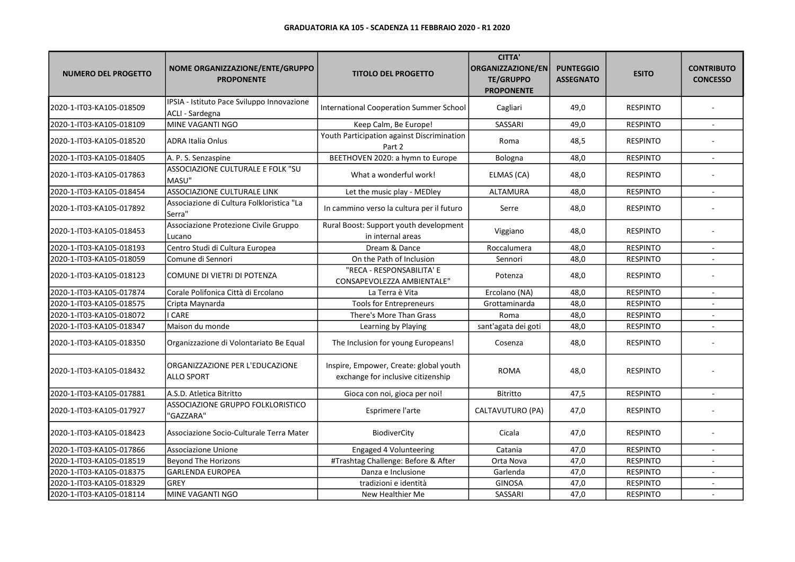| <b>NUMERO DEL PROGETTO</b> | NOME ORGANIZZAZIONE/ENTE/GRUPPO<br><b>PROPONENTE</b>          | <b>TITOLO DEL PROGETTO</b>                                                   | <b>CITTA'</b><br><b>ORGANIZZAZIONE/EN</b><br><b>TE/GRUPPO</b><br><b>PROPONENTE</b> | <b>PUNTEGGIO</b><br><b>ASSEGNATO</b> | <b>ESITO</b>    | <b>CONTRIBUTO</b><br><b>CONCESSO</b> |
|----------------------------|---------------------------------------------------------------|------------------------------------------------------------------------------|------------------------------------------------------------------------------------|--------------------------------------|-----------------|--------------------------------------|
| 2020-1-IT03-KA105-018509   | IPSIA - Istituto Pace Sviluppo Innovazione<br>ACLI - Sardegna | <b>International Cooperation Summer School</b>                               | Cagliari                                                                           | 49,0                                 | <b>RESPINTO</b> |                                      |
| 2020-1-IT03-KA105-018109   | MINE VAGANTI NGO                                              | Keep Calm, Be Europe!                                                        | <b>SASSARI</b>                                                                     | 49,0                                 | <b>RESPINTO</b> |                                      |
| 2020-1-IT03-KA105-018520   | <b>ADRA Italia Onlus</b>                                      | Youth Participation against Discrimination<br>Part 2                         | Roma                                                                               | 48,5                                 | <b>RESPINTO</b> |                                      |
| 2020-1-IT03-KA105-018405   | A. P. S. Senzaspine                                           | BEETHOVEN 2020: a hymn to Europe                                             | Bologna                                                                            | 48,0                                 | <b>RESPINTO</b> |                                      |
| 2020-1-IT03-KA105-017863   | ASSOCIAZIONE CULTURALE E FOLK "SU<br>lmasu"                   | What a wonderful work!                                                       | ELMAS (CA)                                                                         | 48,0                                 | <b>RESPINTO</b> |                                      |
| 2020-1-IT03-KA105-018454   | ASSOCIAZIONE CULTURALE LINK                                   | Let the music play - MEDley                                                  | ALTAMURA                                                                           | 48,0                                 | <b>RESPINTO</b> |                                      |
| 2020-1-IT03-KA105-017892   | Associazione di Cultura Folkloristica "La<br>'Serra"          | In cammino verso la cultura per il futuro                                    | Serre                                                                              | 48,0                                 | <b>RESPINTO</b> |                                      |
| 2020-1-IT03-KA105-018453   | Associazione Protezione Civile Gruppo<br>Lucano               | Rural Boost: Support youth development<br>in internal areas                  | Viggiano                                                                           | 48,0                                 | <b>RESPINTO</b> |                                      |
| 2020-1-IT03-KA105-018193   | Centro Studi di Cultura Europea                               | Dream & Dance                                                                | Roccalumera                                                                        | 48,0                                 | <b>RESPINTO</b> |                                      |
| 2020-1-IT03-KA105-018059   | Comune di Sennori                                             | On the Path of Inclusion                                                     | Sennori                                                                            | 48,0                                 | <b>RESPINTO</b> | $\overline{a}$                       |
| 2020-1-IT03-KA105-018123   | COMUNE DI VIETRI DI POTENZA                                   | "RECA - RESPONSABILITA' E<br>CONSAPEVOLEZZA AMBIENTALE"                      | Potenza                                                                            | 48,0                                 | <b>RESPINTO</b> |                                      |
| 2020-1-IT03-KA105-017874   | Corale Polifonica Città di Ercolano                           | La Terra è Vita                                                              | Ercolano (NA)                                                                      | 48,0                                 | <b>RESPINTO</b> |                                      |
| 2020-1-IT03-KA105-018575   | Cripta Maynarda                                               | <b>Tools for Entrepreneurs</b>                                               | Grottaminarda                                                                      | 48,0                                 | <b>RESPINTO</b> |                                      |
| 2020-1-IT03-KA105-018072   | I CARE                                                        | There's More Than Grass                                                      | Roma                                                                               | 48,0                                 | <b>RESPINTO</b> |                                      |
| 2020-1-IT03-KA105-018347   | Maison du monde                                               | Learning by Playing                                                          | sant'agata dei goti                                                                | 48,0                                 | <b>RESPINTO</b> |                                      |
| 2020-1-IT03-KA105-018350   | Organizzazione di Volontariato Be Equal                       | The Inclusion for young Europeans!                                           | Cosenza                                                                            | 48,0                                 | <b>RESPINTO</b> |                                      |
| 2020-1-IT03-KA105-018432   | ORGANIZZAZIONE PER L'EDUCAZIONE<br><b>ALLO SPORT</b>          | Inspire, Empower, Create: global youth<br>exchange for inclusive citizenship | <b>ROMA</b>                                                                        | 48,0                                 | <b>RESPINTO</b> |                                      |
| 2020-1-IT03-KA105-017881   | A.S.D. Atletica Bitritto                                      | Gioca con noi, gioca per noi!                                                | <b>Bitritto</b>                                                                    | 47,5                                 | <b>RESPINTO</b> |                                      |
| 2020-1-IT03-KA105-017927   | ASSOCIAZIONE GRUPPO FOLKLORISTICO<br>"GAZZARA"                | Esprimere l'arte                                                             | CALTAVUTURO (PA)                                                                   | 47,0                                 | <b>RESPINTO</b> |                                      |
| 2020-1-IT03-KA105-018423   | Associazione Socio-Culturale Terra Mater                      | BiodiverCity                                                                 | Cicala                                                                             | 47,0                                 | <b>RESPINTO</b> |                                      |
| 2020-1-IT03-KA105-017866   | Associazione Unione                                           | Engaged 4 Volunteering                                                       | Catania                                                                            | 47,0                                 | <b>RESPINTO</b> |                                      |
| 2020-1-IT03-KA105-018519   | <b>Beyond The Horizons</b>                                    | #Trashtag Challenge: Before & After                                          | Orta Nova                                                                          | 47,0                                 | <b>RESPINTO</b> | ×.                                   |
| 2020-1-IT03-KA105-018375   | <b>GARLENDA EUROPEA</b>                                       | Danza e Inclusione                                                           | Garlenda                                                                           | 47,0                                 | <b>RESPINTO</b> |                                      |
| 2020-1-IT03-KA105-018329   | <b>GREY</b>                                                   | tradizioni e identità                                                        | <b>GINOSA</b>                                                                      | 47,0                                 | <b>RESPINTO</b> |                                      |
| 2020-1-IT03-KA105-018114   | MINE VAGANTI NGO                                              | New Healthier Me                                                             | SASSARI                                                                            | 47,0                                 | <b>RESPINTO</b> |                                      |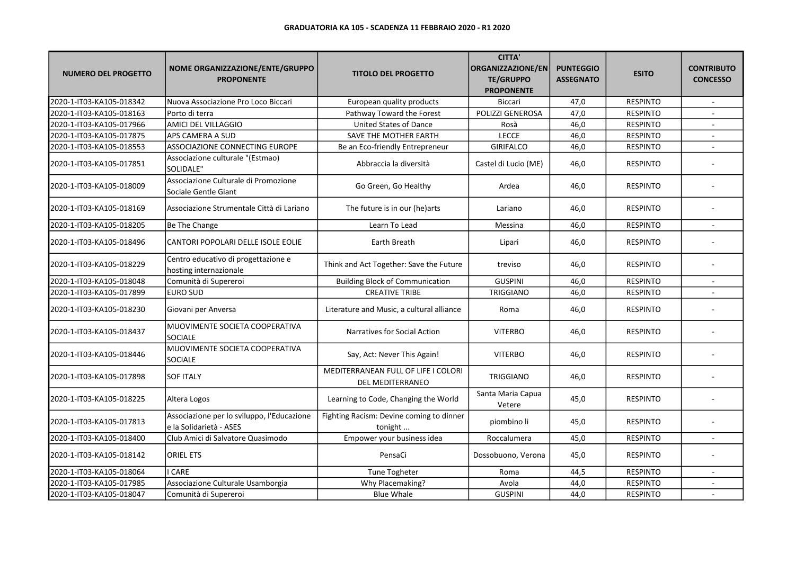| <b>NUMERO DEL PROGETTO</b> | NOME ORGANIZZAZIONE/ENTE/GRUPPO<br><b>PROPONENTE</b>                  | <b>TITOLO DEL PROGETTO</b>                              | <b>CITTA'</b><br>ORGANIZZAZIONE/EN<br><b>TE/GRUPPO</b><br><b>PROPONENTE</b> | <b>PUNTEGGIO</b><br><b>ASSEGNATO</b> | <b>ESITO</b>    | <b>CONTRIBUTO</b><br><b>CONCESSO</b> |
|----------------------------|-----------------------------------------------------------------------|---------------------------------------------------------|-----------------------------------------------------------------------------|--------------------------------------|-----------------|--------------------------------------|
| 2020-1-IT03-KA105-018342   | Nuova Associazione Pro Loco Biccari                                   | European quality products                               | <b>Biccari</b>                                                              | 47,0                                 | <b>RESPINTO</b> | $\sim$                               |
| 2020-1-IT03-KA105-018163   | Porto di terra                                                        | Pathway Toward the Forest                               | POLIZZI GENEROSA                                                            | 47,0                                 | <b>RESPINTO</b> |                                      |
| 2020-1-IT03-KA105-017966   | AMICI DEL VILLAGGIO                                                   | <b>United States of Dance</b>                           | Rosà                                                                        | 46,0                                 | <b>RESPINTO</b> |                                      |
| 2020-1-IT03-KA105-017875   | APS CAMERA A SUD                                                      | SAVE THE MOTHER EARTH                                   | <b>LECCE</b>                                                                | 46,0                                 | <b>RESPINTO</b> |                                      |
| 2020-1-IT03-KA105-018553   | ASSOCIAZIONE CONNECTING EUROPE                                        | Be an Eco-friendly Entrepreneur                         | GIRIFALCO                                                                   | 46,0                                 | <b>RESPINTO</b> |                                      |
| 2020-1-IT03-KA105-017851   | Associazione culturale "(Estmao)<br>SOLIDALE"                         | Abbraccia la diversità                                  | Castel di Lucio (ME)                                                        | 46,0                                 | <b>RESPINTO</b> |                                      |
| 2020-1-IT03-KA105-018009   | Associazione Culturale di Promozione<br>Sociale Gentle Giant          | Go Green, Go Healthy                                    | Ardea                                                                       | 46,0                                 | <b>RESPINTO</b> |                                      |
| 2020-1-IT03-KA105-018169   | Associazione Strumentale Città di Lariano                             | The future is in our (he)arts                           | Lariano                                                                     | 46,0                                 | <b>RESPINTO</b> |                                      |
| 2020-1-IT03-KA105-018205   | Be The Change                                                         | Learn To Lead                                           | Messina                                                                     | 46,0                                 | <b>RESPINTO</b> | $\sim$                               |
| 2020-1-IT03-KA105-018496   | CANTORI POPOLARI DELLE ISOLE EOLIE                                    | <b>Earth Breath</b>                                     | Lipari                                                                      | 46,0                                 | <b>RESPINTO</b> |                                      |
| 2020-1-IT03-KA105-018229   | Centro educativo di progettazione e<br>hosting internazionale         | Think and Act Together: Save the Future                 | treviso                                                                     | 46,0                                 | <b>RESPINTO</b> |                                      |
| 2020-1-IT03-KA105-018048   | Comunità di Supereroi                                                 | <b>Building Block of Communication</b>                  | <b>GUSPINI</b>                                                              | 46,0                                 | <b>RESPINTO</b> |                                      |
| 2020-1-IT03-KA105-017899   | <b>EURO SUD</b>                                                       | <b>CREATIVE TRIBE</b>                                   | TRIGGIANO                                                                   | 46,0                                 | <b>RESPINTO</b> |                                      |
| 2020-1-IT03-KA105-018230   | Giovani per Anversa                                                   | Literature and Music, a cultural alliance               | Roma                                                                        | 46,0                                 | <b>RESPINTO</b> |                                      |
| 2020-1-IT03-KA105-018437   | MUOVIMENTE SOCIETA COOPERATIVA<br>SOCIALE                             | Narratives for Social Action                            | <b>VITERBO</b>                                                              | 46,0                                 | <b>RESPINTO</b> |                                      |
| 2020-1-IT03-KA105-018446   | MUOVIMENTE SOCIETA COOPERATIVA<br><b>SOCIALE</b>                      | Say, Act: Never This Again!                             | <b>VITERBO</b>                                                              | 46,0                                 | <b>RESPINTO</b> |                                      |
| 2020-1-IT03-KA105-017898   | <b>SOF ITALY</b>                                                      | MEDITERRANEAN FULL OF LIFE I COLORI<br>DEL MEDITERRANEO | TRIGGIANO                                                                   | 46,0                                 | <b>RESPINTO</b> |                                      |
| 2020-1-IT03-KA105-018225   | Altera Logos                                                          | Learning to Code, Changing the World                    | Santa Maria Capua<br>Vetere                                                 | 45,0                                 | <b>RESPINTO</b> |                                      |
| 2020-1-IT03-KA105-017813   | Associazione per lo sviluppo, l'Educazione<br>e la Solidarietà - ASES | Fighting Racism: Devine coming to dinner<br>tonight     | piombino li                                                                 | 45,0                                 | <b>RESPINTO</b> |                                      |
| 2020-1-IT03-KA105-018400   | Club Amici di Salvatore Quasimodo                                     | Empower your business idea                              | Roccalumera                                                                 | 45,0                                 | <b>RESPINTO</b> |                                      |
| 2020-1-IT03-KA105-018142   | <b>ORIEL ETS</b>                                                      | PensaCi                                                 | Dossobuono, Verona                                                          | 45,0                                 | <b>RESPINTO</b> |                                      |
| 2020-1-IT03-KA105-018064   | I CARE                                                                | Tune Togheter                                           | Roma                                                                        | 44,5                                 | <b>RESPINTO</b> |                                      |
| 2020-1-IT03-KA105-017985   | Associazione Culturale Usamborgia                                     | Why Placemaking?                                        | Avola                                                                       | 44,0                                 | <b>RESPINTO</b> |                                      |
| 2020-1-IT03-KA105-018047   | Comunità di Supereroi                                                 | <b>Blue Whale</b>                                       | <b>GUSPINI</b>                                                              | 44,0                                 | <b>RESPINTO</b> |                                      |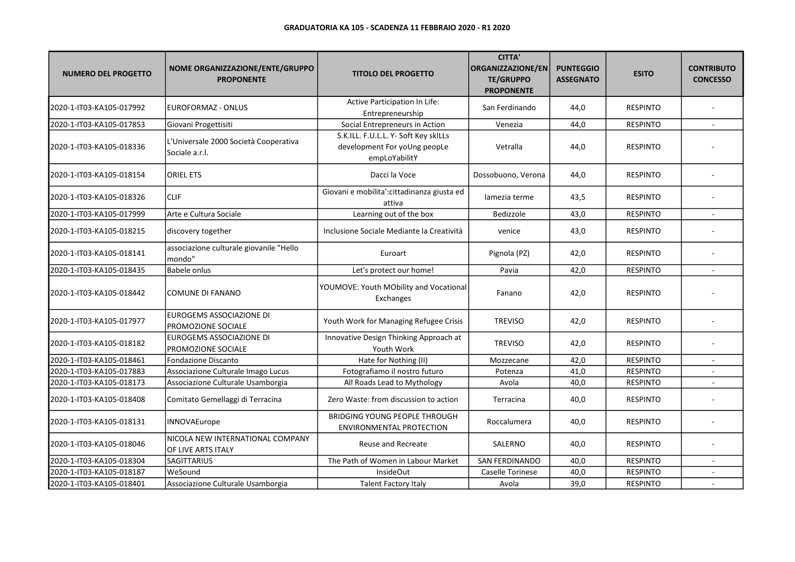| <b>NUMERO DEL PROGETTO</b> | NOME ORGANIZZAZIONE/ENTE/GRUPPO<br><b>PROPONENTE</b>    | <b>TITOLO DEL PROGETTO</b>                                                            | <b>CITTA'</b><br>ORGANIZZAZIONE/EN<br><b>TE/GRUPPO</b><br><b>PROPONENTE</b> | <b>PUNTEGGIO</b><br><b>ASSEGNATO</b> | <b>ESITO</b>    | <b>CONTRIBUTO</b><br><b>CONCESSO</b> |
|----------------------------|---------------------------------------------------------|---------------------------------------------------------------------------------------|-----------------------------------------------------------------------------|--------------------------------------|-----------------|--------------------------------------|
| 2020-1-IT03-KA105-017992   | <b>EUROFORMAZ - ONLUS</b>                               | Active Participation In Life:<br>Entrepreneurship                                     | San Ferdinando                                                              | 44,0                                 | <b>RESPINTO</b> |                                      |
| 2020-1-IT03-KA105-017853   | Giovani Progettisiti                                    | Social Entrepreneurs in Action                                                        | Venezia                                                                     | 44,0                                 | <b>RESPINTO</b> | $\overline{a}$                       |
| 2020-1-IT03-KA105-018336   | L'Universale 2000 Società Cooperativa<br>Sociale a.r.l. | S.K.ILL. F.U.L.L. Y- Soft Key skiLLs<br>development For yoUng peopLe<br>empLoYabilitY | Vetralla                                                                    | 44,0                                 | <b>RESPINTO</b> |                                      |
| 2020-1-IT03-KA105-018154   | <b>ORIEL ETS</b>                                        | Dacci la Voce                                                                         | Dossobuono, Verona                                                          | 44,0                                 | <b>RESPINTO</b> |                                      |
| 2020-1-IT03-KA105-018326   | <b>CLIF</b>                                             | Giovani e mobilita': cittadinanza giusta ed<br>attiva                                 | lamezia terme                                                               | 43,5                                 | <b>RESPINTO</b> |                                      |
| 2020-1-IT03-KA105-017999   | Arte e Cultura Sociale                                  | Learning out of the box                                                               | Bedizzole                                                                   | 43,0                                 | <b>RESPINTO</b> |                                      |
| 2020-1-IT03-KA105-018215   | discovery together                                      | Inclusione Sociale Mediante la Creatività                                             | venice                                                                      | 43,0                                 | <b>RESPINTO</b> |                                      |
| 2020-1-IT03-KA105-018141   | associazione culturale giovanile "Hello<br>mondo"       | Euroart                                                                               | Pignola (PZ)                                                                | 42,0                                 | <b>RESPINTO</b> |                                      |
| 2020-1-IT03-KA105-018435   | <b>Babele onlus</b>                                     | Let's protect our home!                                                               | Pavia                                                                       | 42,0                                 | <b>RESPINTO</b> |                                      |
| 2020-1-IT03-KA105-018442   | <b>COMUNE DI FANANO</b>                                 | YOUMOVE: Youth MObility and Vocational<br>Exchanges                                   | Fanano                                                                      | 42,0                                 | <b>RESPINTO</b> |                                      |
| 2020-1-IT03-KA105-017977   | EUROGEMS ASSOCIAZIONE DI<br>PROMOZIONE SOCIALE          | Youth Work for Managing Refugee Crisis                                                | <b>TREVISO</b>                                                              | 42,0                                 | <b>RESPINTO</b> |                                      |
| 2020-1-IT03-KA105-018182   | EUROGEMS ASSOCIAZIONE DI<br>PROMOZIONE SOCIALE          | Innovative Design Thinking Approach at<br>Youth Work                                  | <b>TREVISO</b>                                                              | 42,0                                 | <b>RESPINTO</b> |                                      |
| 2020-1-IT03-KA105-018461   | <b>Fondazione Discanto</b>                              | Hate for Nothing (II)                                                                 | Mozzecane                                                                   | 42,0                                 | <b>RESPINTO</b> |                                      |
| 2020-1-IT03-KA105-017883   | Associazione Culturale Imago Lucus                      | Fotografiamo il nostro futuro                                                         | Potenza                                                                     | 41,0                                 | <b>RESPINTO</b> |                                      |
| 2020-1-IT03-KA105-018173   | Associazione Culturale Usamborgia                       | All Roads Lead to Mythology                                                           | Avola                                                                       | 40,0                                 | <b>RESPINTO</b> |                                      |
| 2020-1-IT03-KA105-018408   | Comitato Gemellaggi di Terracina                        | Zero Waste: from discussion to action                                                 | Terracina                                                                   | 40,0                                 | <b>RESPINTO</b> |                                      |
| 2020-1-IT03-KA105-018131   | INNOVAEurope                                            | <b>BRIDGING YOUNG PEOPLE THROUGH</b><br><b>ENVIRONMENTAL PROTECTION</b>               | Roccalumera                                                                 | 40,0                                 | <b>RESPINTO</b> |                                      |
| 2020-1-IT03-KA105-018046   | NICOLA NEW INTERNATIONAL COMPANY<br>OF LIVE ARTS ITALY  | Reuse and Recreate                                                                    | SALERNO                                                                     | 40,0                                 | <b>RESPINTO</b> |                                      |
| 2020-1-IT03-KA105-018304   | <b>SAGITTARIUS</b>                                      | The Path of Women in Labour Market                                                    | SAN FERDINANDO                                                              | 40,0                                 | <b>RESPINTO</b> |                                      |
| 2020-1-IT03-KA105-018187   | WeSound                                                 | InsideOut                                                                             | Caselle Torinese                                                            | 40,0                                 | <b>RESPINTO</b> |                                      |
| 2020-1-IT03-KA105-018401   | Associazione Culturale Usamborgia                       | <b>Talent Factory Italy</b>                                                           | Avola                                                                       | 39,0                                 | <b>RESPINTO</b> |                                      |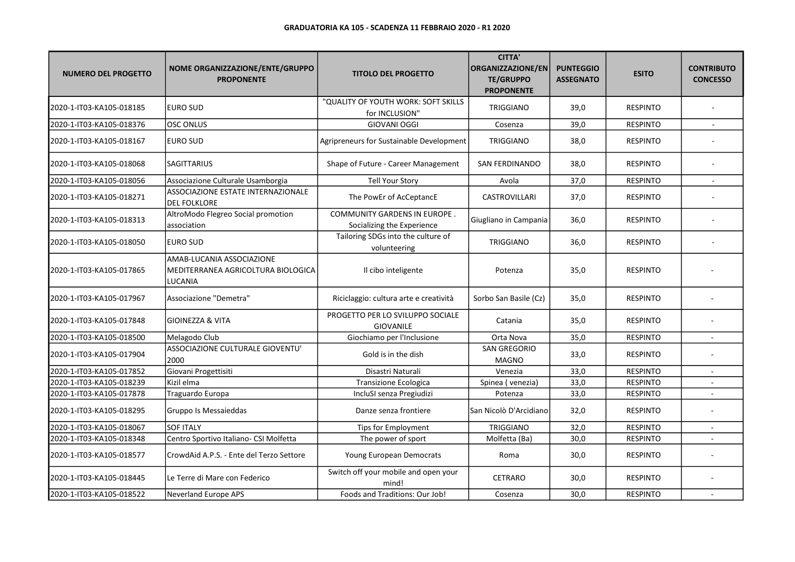| <b>NUMERO DEL PROGETTO</b> | NOME ORGANIZZAZIONE/ENTE/GRUPPO<br><b>PROPONENTE</b>                       | <b>TITOLO DEL PROGETTO</b>                                        | <b>CITTA'</b><br>ORGANIZZAZIONE/EN<br><b>TE/GRUPPO</b><br><b>PROPONENTE</b> | <b>PUNTEGGIO</b><br><b>ASSEGNATO</b> | <b>ESITO</b>    | <b>CONTRIBUTO</b><br><b>CONCESSO</b> |
|----------------------------|----------------------------------------------------------------------------|-------------------------------------------------------------------|-----------------------------------------------------------------------------|--------------------------------------|-----------------|--------------------------------------|
| 2020-1-IT03-KA105-018185   | <b>EURO SUD</b>                                                            | "QUALITY OF YOUTH WORK: SOFT SKILLS<br>for INCLUSION"             | TRIGGIANO                                                                   | 39,0                                 | <b>RESPINTO</b> |                                      |
| 2020-1-IT03-KA105-018376   | <b>OSC ONLUS</b>                                                           | <b>GIOVANI OGGI</b>                                               | Cosenza                                                                     | 39,0                                 | <b>RESPINTO</b> |                                      |
| 2020-1-IT03-KA105-018167   | <b>EURO SUD</b>                                                            | Agripreneurs for Sustainable Development                          | <b>TRIGGIANO</b>                                                            | 38,0                                 | <b>RESPINTO</b> |                                      |
| 2020-1-IT03-KA105-018068   | <b>SAGITTARIUS</b>                                                         | Shape of Future - Career Management                               | <b>SAN FERDINANDO</b>                                                       | 38,0                                 | <b>RESPINTO</b> |                                      |
| 2020-1-IT03-KA105-018056   | Associazione Culturale Usamborgia                                          | <b>Tell Your Story</b>                                            | Avola                                                                       | 37,0                                 | <b>RESPINTO</b> | $\overline{a}$                       |
| 2020-1-IT03-KA105-018271   | ASSOCIAZIONE ESTATE INTERNAZIONALE<br><b>DEL FOLKLORE</b>                  | The PowEr of AcCeptancE                                           | CASTROVILLARI                                                               | 37,0                                 | <b>RESPINTO</b> |                                      |
| 2020-1-IT03-KA105-018313   | AltroModo Flegreo Social promotion<br>association                          | <b>COMMUNITY GARDENS IN EUROPE.</b><br>Socializing the Experience | Giugliano in Campania                                                       | 36,0                                 | <b>RESPINTO</b> |                                      |
| 2020-1-IT03-KA105-018050   | <b>EURO SUD</b>                                                            | Tailoring SDGs into the culture of<br>volunteering                | <b>TRIGGIANO</b>                                                            | 36,0                                 | <b>RESPINTO</b> |                                      |
| 2020-1-IT03-KA105-017865   | AMAB-LUCANIA ASSOCIAZIONE<br>MEDITERRANEA AGRICOLTURA BIOLOGICA<br>LUCANIA | Il cibo inteligente                                               | Potenza                                                                     | 35,0                                 | <b>RESPINTO</b> |                                      |
| 2020-1-IT03-KA105-017967   | Associazione "Demetra"                                                     | Riciclaggio: cultura arte e creatività                            | Sorbo San Basile (Cz)                                                       | 35,0                                 | <b>RESPINTO</b> |                                      |
| 2020-1-IT03-KA105-017848   | <b>GIOINEZZA &amp; VITA</b>                                                | PROGETTO PER LO SVILUPPO SOCIALE<br><b>GIOVANILE</b>              | Catania                                                                     | 35,0                                 | <b>RESPINTO</b> |                                      |
| 2020-1-IT03-KA105-018500   | Melagodo Club                                                              | Giochiamo per l'Inclusione                                        | Orta Nova                                                                   | 35,0                                 | <b>RESPINTO</b> |                                      |
| 2020-1-IT03-KA105-017904   | ASSOCIAZIONE CULTURALE GIOVENTU'<br>2000                                   | Gold is in the dish                                               | SAN GREGORIO<br><b>MAGNO</b>                                                | 33,0                                 | <b>RESPINTO</b> |                                      |
| 2020-1-IT03-KA105-017852   | Giovani Progettisiti                                                       | Disastri Naturali                                                 | Venezia                                                                     | 33,0                                 | <b>RESPINTO</b> |                                      |
| 2020-1-IT03-KA105-018239   | Kizil elma                                                                 | Transizione Ecologica                                             | Spinea (venezia)                                                            | 33,0                                 | <b>RESPINTO</b> | $\sim$                               |
| 2020-1-IT03-KA105-017878   | Traguardo Europa                                                           | IncluSI senza Pregiudizi                                          | Potenza                                                                     | 33,0                                 | <b>RESPINTO</b> | $\sim$                               |
| 2020-1-IT03-KA105-018295   | Gruppo Is Messaieddas                                                      | Danze senza frontiere                                             | lSan Nicolò D'Arcidiano                                                     | 32,0                                 | <b>RESPINTO</b> |                                      |
| 2020-1-IT03-KA105-018067   | <b>SOF ITALY</b>                                                           | Tips for Employment                                               | <b>TRIGGIANO</b>                                                            | 32,0                                 | <b>RESPINTO</b> | $\mathbf{r}$                         |
| 2020-1-IT03-KA105-018348   | Centro Sportivo Italiano- CSI Molfetta                                     | The power of sport                                                | Molfetta (Ba)                                                               | 30,0                                 | <b>RESPINTO</b> |                                      |
| 2020-1-IT03-KA105-018577   | CrowdAid A.P.S. - Ente del Terzo Settore                                   | Young European Democrats                                          | Roma                                                                        | 30,0                                 | <b>RESPINTO</b> |                                      |
| 2020-1-IT03-KA105-018445   | Le Terre di Mare con Federico                                              | Switch off your mobile and open your<br>mind!                     | CETRARO                                                                     | 30,0                                 | <b>RESPINTO</b> |                                      |
| 2020-1-IT03-KA105-018522   | Neverland Europe APS                                                       | Foods and Traditions: Our Job!                                    | Cosenza                                                                     | 30,0                                 | <b>RESPINTO</b> |                                      |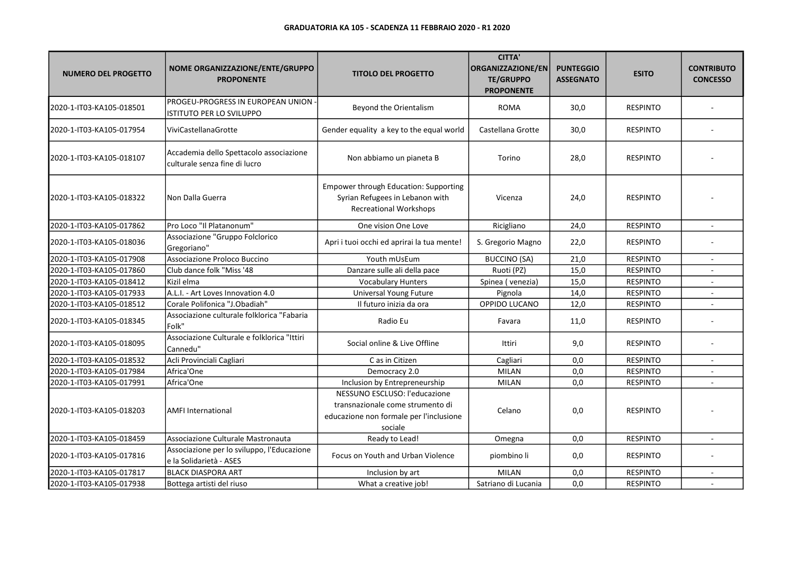| <b>NUMERO DEL PROGETTO</b> | NOME ORGANIZZAZIONE/ENTE/GRUPPO<br><b>PROPONENTE</b>                     | <b>TITOLO DEL PROGETTO</b>                                                                                              | <b>CITTA'</b><br><b>ORGANIZZAZIONE/EN</b><br><b>TE/GRUPPO</b><br><b>PROPONENTE</b> | <b>PUNTEGGIO</b><br><b>ASSEGNATO</b> | <b>ESITO</b>    | <b>CONTRIBUTO</b><br><b>CONCESSO</b> |
|----------------------------|--------------------------------------------------------------------------|-------------------------------------------------------------------------------------------------------------------------|------------------------------------------------------------------------------------|--------------------------------------|-----------------|--------------------------------------|
| 2020-1-IT03-KA105-018501   | PROGEU-PROGRESS IN EUROPEAN UNION -<br><b>ISTITUTO PER LO SVILUPPO</b>   | Beyond the Orientalism                                                                                                  | <b>ROMA</b>                                                                        | 30,0                                 | <b>RESPINTO</b> |                                      |
| 2020-1-IT03-KA105-017954   | ViviCastellanaGrotte                                                     | Gender equality a key to the equal world                                                                                | Castellana Grotte                                                                  | 30,0                                 | <b>RESPINTO</b> |                                      |
| 2020-1-IT03-KA105-018107   | Accademia dello Spettacolo associazione<br>culturale senza fine di lucro | Non abbiamo un pianeta B                                                                                                | Torino                                                                             | 28,0                                 | <b>RESPINTO</b> |                                      |
| 2020-1-IT03-KA105-018322   | Non Dalla Guerra                                                         | <b>Empower through Education: Supporting</b><br>Syrian Refugees in Lebanon with<br><b>Recreational Workshops</b>        | Vicenza                                                                            | 24,0                                 | <b>RESPINTO</b> |                                      |
| 2020-1-IT03-KA105-017862   | Pro Loco "Il Platanonum"                                                 | One vision One Love                                                                                                     | Ricigliano                                                                         | 24,0                                 | <b>RESPINTO</b> |                                      |
| 2020-1-IT03-KA105-018036   | Associazione "Gruppo Folclorico<br>Gregoriano"                           | Apri i tuoi occhi ed aprirai la tua mente!                                                                              | S. Gregorio Magno                                                                  | 22,0                                 | <b>RESPINTO</b> |                                      |
| 2020-1-IT03-KA105-017908   | Associazione Proloco Buccino                                             | Youth mUsEum                                                                                                            | <b>BUCCINO (SA)</b>                                                                | 21,0                                 | <b>RESPINTO</b> | $\blacksquare$                       |
| 2020-1-IT03-KA105-017860   | Club dance folk "Miss '48                                                | Danzare sulle ali della pace                                                                                            | Ruoti (PZ)                                                                         | 15,0                                 | <b>RESPINTO</b> |                                      |
| 2020-1-IT03-KA105-018412   | Kizil elma                                                               | <b>Vocabulary Hunters</b>                                                                                               | Spinea (venezia)                                                                   | 15,0                                 | <b>RESPINTO</b> |                                      |
| 2020-1-IT03-KA105-017933   | A.L.I. - Art Loves Innovation 4.0                                        | Universal Young Future                                                                                                  | Pignola                                                                            | 14,0                                 | <b>RESPINTO</b> |                                      |
| 2020-1-IT03-KA105-018512   | Corale Polifonica "J.Obadiah"                                            | Il futuro inizia da ora                                                                                                 | OPPIDO LUCANO                                                                      | 12,0                                 | <b>RESPINTO</b> | ÷.                                   |
| 2020-1-IT03-KA105-018345   | Associazione culturale folklorica "Fabaria<br>Folk"                      | Radio Eu                                                                                                                | Favara                                                                             | 11,0                                 | <b>RESPINTO</b> |                                      |
| 2020-1-IT03-KA105-018095   | Associazione Culturale e folklorica "Ittiri<br>Cannedu"                  | Social online & Live Offline                                                                                            | Ittiri                                                                             | 9,0                                  | <b>RESPINTO</b> |                                      |
| 2020-1-IT03-KA105-018532   | Acli Provinciali Cagliari                                                | C as in Citizen                                                                                                         | Cagliari                                                                           | 0,0                                  | <b>RESPINTO</b> | $\mathbf{r}$                         |
| 2020-1-IT03-KA105-017984   | Africa'One                                                               | Democracy 2.0                                                                                                           | <b>MILAN</b>                                                                       | 0,0                                  | <b>RESPINTO</b> |                                      |
| 2020-1-IT03-KA105-017991   | Africa'One                                                               | Inclusion by Entrepreneurship                                                                                           | <b>MILAN</b>                                                                       | 0,0                                  | <b>RESPINTO</b> |                                      |
| 2020-1-IT03-KA105-018203   | <b>AMFI International</b>                                                | NESSUNO ESCLUSO: l'educazione<br>transnazionale come strumento di<br>educazione non formale per l'inclusione<br>sociale | Celano                                                                             | 0,0                                  | <b>RESPINTO</b> |                                      |
| 2020-1-IT03-KA105-018459   | Associazione Culturale Mastronauta                                       | Ready to Lead!                                                                                                          | Omegna                                                                             | 0,0                                  | <b>RESPINTO</b> |                                      |
| 2020-1-IT03-KA105-017816   | Associazione per lo sviluppo, l'Educazione<br>e la Solidarietà - ASES    | Focus on Youth and Urban Violence                                                                                       | piombino li                                                                        | 0,0                                  | <b>RESPINTO</b> |                                      |
| 2020-1-IT03-KA105-017817   | <b>BLACK DIASPORA ART</b>                                                | Inclusion by art                                                                                                        | <b>MILAN</b>                                                                       | 0,0                                  | <b>RESPINTO</b> |                                      |
| 2020-1-IT03-KA105-017938   | Bottega artisti del riuso                                                | What a creative job!                                                                                                    | Satriano di Lucania                                                                | 0,0                                  | <b>RESPINTO</b> |                                      |